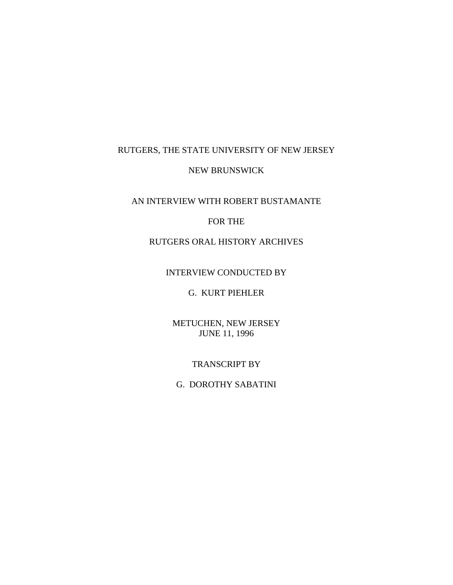# RUTGERS, THE STATE UNIVERSITY OF NEW JERSEY

#### NEW BRUNSWICK

## AN INTERVIEW WITH ROBERT BUSTAMANTE

#### FOR THE

## RUTGERS ORAL HISTORY ARCHIVES

#### INTERVIEW CONDUCTED BY

# G. KURT PIEHLER

## METUCHEN, NEW JERSEY JUNE 11, 1996

#### TRANSCRIPT BY

# G. DOROTHY SABATINI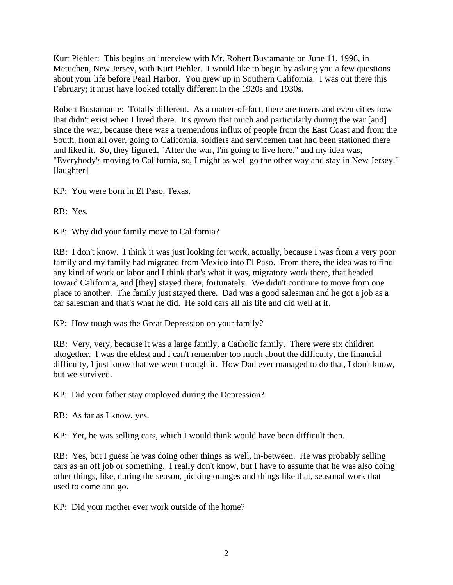Kurt Piehler: This begins an interview with Mr. Robert Bustamante on June 11, 1996, in Metuchen, New Jersey, with Kurt Piehler. I would like to begin by asking you a few questions about your life before Pearl Harbor. You grew up in Southern California. I was out there this February; it must have looked totally different in the 1920s and 1930s.

Robert Bustamante: Totally different. As a matter-of-fact, there are towns and even cities now that didn't exist when I lived there. It's grown that much and particularly during the war [and] since the war, because there was a tremendous influx of people from the East Coast and from the South, from all over, going to California, soldiers and servicemen that had been stationed there and liked it. So, they figured, "After the war, I'm going to live here," and my idea was, "Everybody's moving to California, so, I might as well go the other way and stay in New Jersey." [laughter]

KP: You were born in El Paso, Texas.

RB: Yes.

KP: Why did your family move to California?

RB: I don't know. I think it was just looking for work, actually, because I was from a very poor family and my family had migrated from Mexico into El Paso. From there, the idea was to find any kind of work or labor and I think that's what it was, migratory work there, that headed toward California, and [they] stayed there, fortunately. We didn't continue to move from one place to another. The family just stayed there. Dad was a good salesman and he got a job as a car salesman and that's what he did. He sold cars all his life and did well at it.

KP: How tough was the Great Depression on your family?

RB: Very, very, because it was a large family, a Catholic family. There were six children altogether. I was the eldest and I can't remember too much about the difficulty, the financial difficulty, I just know that we went through it. How Dad ever managed to do that, I don't know, but we survived.

KP: Did your father stay employed during the Depression?

RB: As far as I know, yes.

KP: Yet, he was selling cars, which I would think would have been difficult then.

RB: Yes, but I guess he was doing other things as well, in-between. He was probably selling cars as an off job or something. I really don't know, but I have to assume that he was also doing other things, like, during the season, picking oranges and things like that, seasonal work that used to come and go.

KP: Did your mother ever work outside of the home?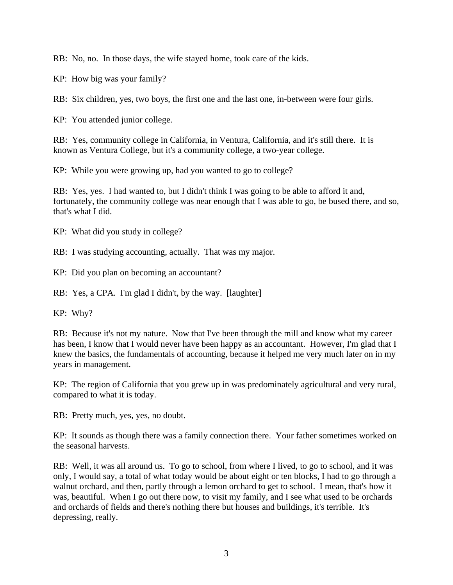RB: No, no. In those days, the wife stayed home, took care of the kids.

KP: How big was your family?

RB: Six children, yes, two boys, the first one and the last one, in-between were four girls.

KP: You attended junior college.

RB: Yes, community college in California, in Ventura, California, and it's still there. It is known as Ventura College, but it's a community college, a two-year college.

KP: While you were growing up, had you wanted to go to college?

RB: Yes, yes. I had wanted to, but I didn't think I was going to be able to afford it and, fortunately, the community college was near enough that I was able to go, be bused there, and so, that's what I did.

KP: What did you study in college?

RB: I was studying accounting, actually. That was my major.

KP: Did you plan on becoming an accountant?

RB: Yes, a CPA. I'm glad I didn't, by the way. [laughter]

KP: Why?

RB: Because it's not my nature. Now that I've been through the mill and know what my career has been, I know that I would never have been happy as an accountant. However, I'm glad that I knew the basics, the fundamentals of accounting, because it helped me very much later on in my years in management.

KP: The region of California that you grew up in was predominately agricultural and very rural, compared to what it is today.

RB: Pretty much, yes, yes, no doubt.

KP: It sounds as though there was a family connection there. Your father sometimes worked on the seasonal harvests.

RB: Well, it was all around us. To go to school, from where I lived, to go to school, and it was only, I would say, a total of what today would be about eight or ten blocks, I had to go through a walnut orchard, and then, partly through a lemon orchard to get to school. I mean, that's how it was, beautiful. When I go out there now, to visit my family, and I see what used to be orchards and orchards of fields and there's nothing there but houses and buildings, it's terrible. It's depressing, really.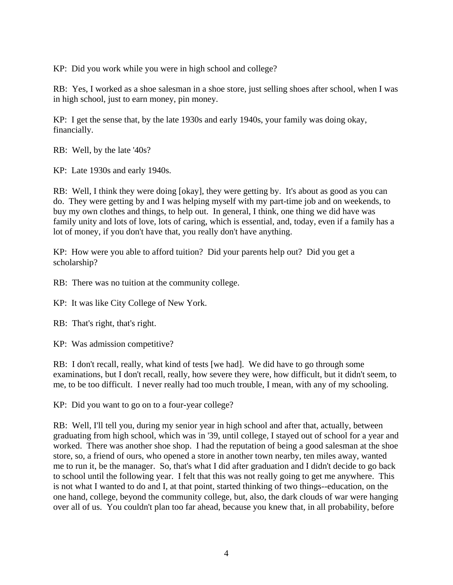KP: Did you work while you were in high school and college?

RB: Yes, I worked as a shoe salesman in a shoe store, just selling shoes after school, when I was in high school, just to earn money, pin money.

KP: I get the sense that, by the late 1930s and early 1940s, your family was doing okay, financially.

RB: Well, by the late '40s?

KP: Late 1930s and early 1940s.

RB: Well, I think they were doing [okay], they were getting by. It's about as good as you can do. They were getting by and I was helping myself with my part-time job and on weekends, to buy my own clothes and things, to help out. In general, I think, one thing we did have was family unity and lots of love, lots of caring, which is essential, and, today, even if a family has a lot of money, if you don't have that, you really don't have anything.

KP: How were you able to afford tuition? Did your parents help out? Did you get a scholarship?

RB: There was no tuition at the community college.

KP: It was like City College of New York.

RB: That's right, that's right.

KP: Was admission competitive?

RB: I don't recall, really, what kind of tests [we had]. We did have to go through some examinations, but I don't recall, really, how severe they were, how difficult, but it didn't seem, to me, to be too difficult. I never really had too much trouble, I mean, with any of my schooling.

KP: Did you want to go on to a four-year college?

RB: Well, I'll tell you, during my senior year in high school and after that, actually, between graduating from high school, which was in '39, until college, I stayed out of school for a year and worked. There was another shoe shop. I had the reputation of being a good salesman at the shoe store, so, a friend of ours, who opened a store in another town nearby, ten miles away, wanted me to run it, be the manager. So, that's what I did after graduation and I didn't decide to go back to school until the following year. I felt that this was not really going to get me anywhere. This is not what I wanted to do and I, at that point, started thinking of two things--education, on the one hand, college, beyond the community college, but, also, the dark clouds of war were hanging over all of us. You couldn't plan too far ahead, because you knew that, in all probability, before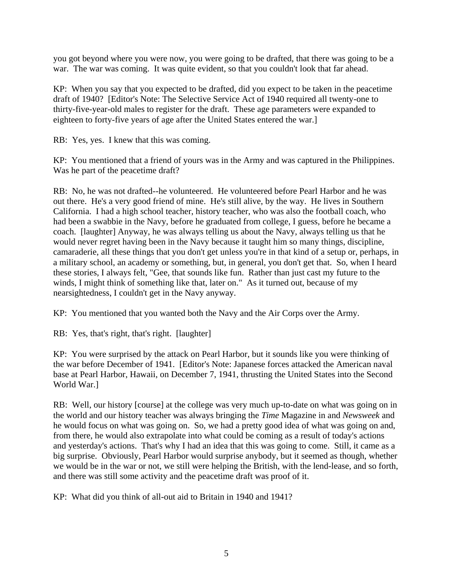you got beyond where you were now, you were going to be drafted, that there was going to be a war. The war was coming. It was quite evident, so that you couldn't look that far ahead.

KP: When you say that you expected to be drafted, did you expect to be taken in the peacetime draft of 1940? [Editor's Note: The Selective Service Act of 1940 required all twenty-one to thirty-five-year-old males to register for the draft. These age parameters were expanded to eighteen to forty-five years of age after the United States entered the war.]

RB: Yes, yes. I knew that this was coming.

KP: You mentioned that a friend of yours was in the Army and was captured in the Philippines. Was he part of the peacetime draft?

RB: No, he was not drafted--he volunteered. He volunteered before Pearl Harbor and he was out there. He's a very good friend of mine. He's still alive, by the way. He lives in Southern California. I had a high school teacher, history teacher, who was also the football coach, who had been a swabbie in the Navy, before he graduated from college, I guess, before he became a coach. [laughter] Anyway, he was always telling us about the Navy, always telling us that he would never regret having been in the Navy because it taught him so many things, discipline, camaraderie, all these things that you don't get unless you're in that kind of a setup or, perhaps, in a military school, an academy or something, but, in general, you don't get that. So, when I heard these stories, I always felt, "Gee, that sounds like fun. Rather than just cast my future to the winds, I might think of something like that, later on." As it turned out, because of my nearsightedness, I couldn't get in the Navy anyway.

KP: You mentioned that you wanted both the Navy and the Air Corps over the Army.

RB: Yes, that's right, that's right. [laughter]

KP: You were surprised by the attack on Pearl Harbor, but it sounds like you were thinking of the war before December of 1941. [Editor's Note: Japanese forces attacked the American naval base at Pearl Harbor, Hawaii, on December 7, 1941, thrusting the United States into the Second World War.]

RB: Well, our history [course] at the college was very much up-to-date on what was going on in the world and our history teacher was always bringing the *Time* Magazine in and *Newsweek* and he would focus on what was going on. So, we had a pretty good idea of what was going on and, from there, he would also extrapolate into what could be coming as a result of today's actions and yesterday's actions. That's why I had an idea that this was going to come. Still, it came as a big surprise. Obviously, Pearl Harbor would surprise anybody, but it seemed as though, whether we would be in the war or not, we still were helping the British, with the lend-lease, and so forth, and there was still some activity and the peacetime draft was proof of it.

KP: What did you think of all-out aid to Britain in 1940 and 1941?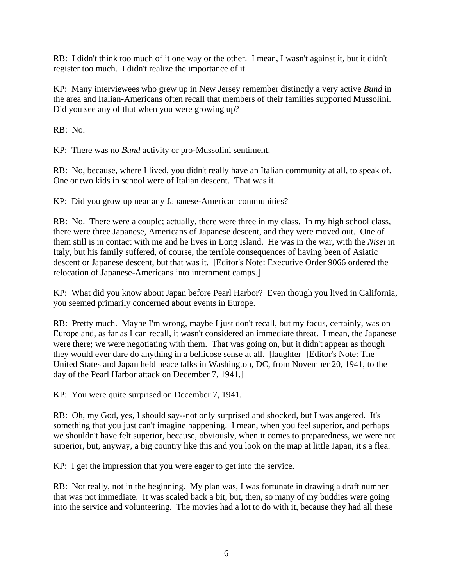RB: I didn't think too much of it one way or the other. I mean, I wasn't against it, but it didn't register too much. I didn't realize the importance of it.

KP: Many interviewees who grew up in New Jersey remember distinctly a very active *Bund* in the area and Italian-Americans often recall that members of their families supported Mussolini. Did you see any of that when you were growing up?

RB: No.

KP: There was no *Bund* activity or pro-Mussolini sentiment.

RB: No, because, where I lived, you didn't really have an Italian community at all, to speak of. One or two kids in school were of Italian descent. That was it.

KP: Did you grow up near any Japanese-American communities?

RB: No. There were a couple; actually, there were three in my class. In my high school class, there were three Japanese, Americans of Japanese descent, and they were moved out. One of them still is in contact with me and he lives in Long Island. He was in the war, with the *Nisei* in Italy, but his family suffered, of course, the terrible consequences of having been of Asiatic descent or Japanese descent, but that was it. [Editor's Note: Executive Order 9066 ordered the relocation of Japanese-Americans into internment camps.]

KP: What did you know about Japan before Pearl Harbor? Even though you lived in California, you seemed primarily concerned about events in Europe.

RB: Pretty much. Maybe I'm wrong, maybe I just don't recall, but my focus, certainly, was on Europe and, as far as I can recall, it wasn't considered an immediate threat. I mean, the Japanese were there; we were negotiating with them. That was going on, but it didn't appear as though they would ever dare do anything in a bellicose sense at all. [laughter] [Editor's Note: The United States and Japan held peace talks in Washington, DC, from November 20, 1941, to the day of the Pearl Harbor attack on December 7, 1941.]

KP: You were quite surprised on December 7, 1941.

RB: Oh, my God, yes, I should say--not only surprised and shocked, but I was angered. It's something that you just can't imagine happening. I mean, when you feel superior, and perhaps we shouldn't have felt superior, because, obviously, when it comes to preparedness, we were not superior, but, anyway, a big country like this and you look on the map at little Japan, it's a flea.

KP: I get the impression that you were eager to get into the service.

RB: Not really, not in the beginning. My plan was, I was fortunate in drawing a draft number that was not immediate. It was scaled back a bit, but, then, so many of my buddies were going into the service and volunteering. The movies had a lot to do with it, because they had all these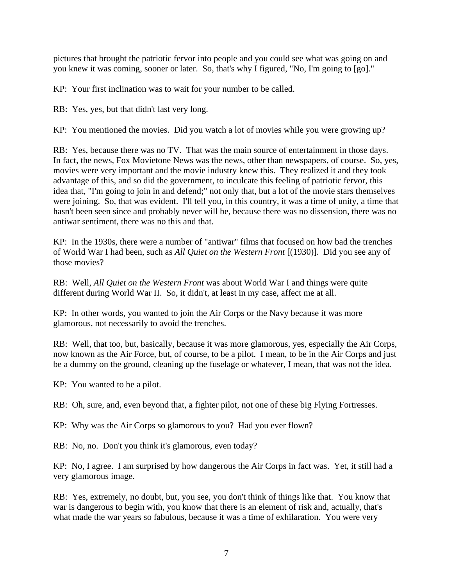pictures that brought the patriotic fervor into people and you could see what was going on and you knew it was coming, sooner or later. So, that's why I figured, "No, I'm going to [go]."

KP: Your first inclination was to wait for your number to be called.

RB: Yes, yes, but that didn't last very long.

KP: You mentioned the movies. Did you watch a lot of movies while you were growing up?

RB: Yes, because there was no TV. That was the main source of entertainment in those days. In fact, the news, Fox Movietone News was the news, other than newspapers, of course. So, yes, movies were very important and the movie industry knew this. They realized it and they took advantage of this, and so did the government, to inculcate this feeling of patriotic fervor, this idea that, "I'm going to join in and defend;" not only that, but a lot of the movie stars themselves were joining. So, that was evident. I'll tell you, in this country, it was a time of unity, a time that hasn't been seen since and probably never will be, because there was no dissension, there was no antiwar sentiment, there was no this and that.

KP: In the 1930s, there were a number of "antiwar" films that focused on how bad the trenches of World War I had been, such as *All Quiet on the Western Front* [(1930)]. Did you see any of those movies?

RB: Well, *All Quiet on the Western Front* was about World War I and things were quite different during World War II. So, it didn't, at least in my case, affect me at all.

KP: In other words, you wanted to join the Air Corps or the Navy because it was more glamorous, not necessarily to avoid the trenches.

RB: Well, that too, but, basically, because it was more glamorous, yes, especially the Air Corps, now known as the Air Force, but, of course, to be a pilot. I mean, to be in the Air Corps and just be a dummy on the ground, cleaning up the fuselage or whatever, I mean, that was not the idea.

KP: You wanted to be a pilot.

RB: Oh, sure, and, even beyond that, a fighter pilot, not one of these big Flying Fortresses.

KP: Why was the Air Corps so glamorous to you? Had you ever flown?

RB: No, no. Don't you think it's glamorous, even today?

KP: No, I agree. I am surprised by how dangerous the Air Corps in fact was. Yet, it still had a very glamorous image.

RB: Yes, extremely, no doubt, but, you see, you don't think of things like that. You know that war is dangerous to begin with, you know that there is an element of risk and, actually, that's what made the war years so fabulous, because it was a time of exhilaration. You were very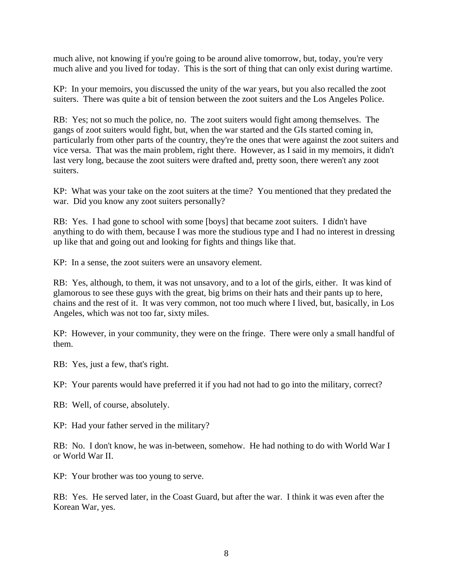much alive, not knowing if you're going to be around alive tomorrow, but, today, you're very much alive and you lived for today. This is the sort of thing that can only exist during wartime.

KP: In your memoirs, you discussed the unity of the war years, but you also recalled the zoot suiters. There was quite a bit of tension between the zoot suiters and the Los Angeles Police.

RB: Yes; not so much the police, no. The zoot suiters would fight among themselves. The gangs of zoot suiters would fight, but, when the war started and the GIs started coming in, particularly from other parts of the country, they're the ones that were against the zoot suiters and vice versa. That was the main problem, right there. However, as I said in my memoirs, it didn't last very long, because the zoot suiters were drafted and, pretty soon, there weren't any zoot suiters.

KP: What was your take on the zoot suiters at the time? You mentioned that they predated the war. Did you know any zoot suiters personally?

RB: Yes. I had gone to school with some [boys] that became zoot suiters. I didn't have anything to do with them, because I was more the studious type and I had no interest in dressing up like that and going out and looking for fights and things like that.

KP: In a sense, the zoot suiters were an unsavory element.

RB: Yes, although, to them, it was not unsavory, and to a lot of the girls, either. It was kind of glamorous to see these guys with the great, big brims on their hats and their pants up to here, chains and the rest of it. It was very common, not too much where I lived, but, basically, in Los Angeles, which was not too far, sixty miles.

KP: However, in your community, they were on the fringe. There were only a small handful of them.

RB: Yes, just a few, that's right.

KP: Your parents would have preferred it if you had not had to go into the military, correct?

RB: Well, of course, absolutely.

KP: Had your father served in the military?

RB: No. I don't know, he was in-between, somehow. He had nothing to do with World War I or World War II.

KP: Your brother was too young to serve.

RB: Yes. He served later, in the Coast Guard, but after the war. I think it was even after the Korean War, yes.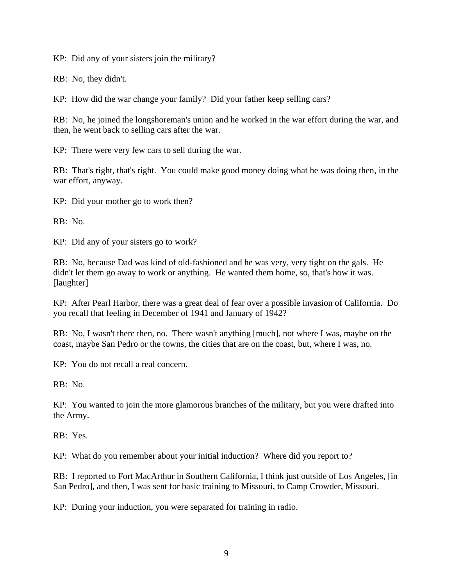KP: Did any of your sisters join the military?

RB: No, they didn't.

KP: How did the war change your family? Did your father keep selling cars?

RB: No, he joined the longshoreman's union and he worked in the war effort during the war, and then, he went back to selling cars after the war.

KP: There were very few cars to sell during the war.

RB: That's right, that's right. You could make good money doing what he was doing then, in the war effort, anyway.

KP: Did your mother go to work then?

RB: No.

KP: Did any of your sisters go to work?

RB: No, because Dad was kind of old-fashioned and he was very, very tight on the gals. He didn't let them go away to work or anything. He wanted them home, so, that's how it was. [laughter]

KP: After Pearl Harbor, there was a great deal of fear over a possible invasion of California. Do you recall that feeling in December of 1941 and January of 1942?

RB: No, I wasn't there then, no. There wasn't anything [much], not where I was, maybe on the coast, maybe San Pedro or the towns, the cities that are on the coast, but, where I was, no.

KP: You do not recall a real concern.

RB: No.

KP: You wanted to join the more glamorous branches of the military, but you were drafted into the Army.

RB: Yes.

KP: What do you remember about your initial induction? Where did you report to?

RB: I reported to Fort MacArthur in Southern California, I think just outside of Los Angeles, [in San Pedro], and then, I was sent for basic training to Missouri, to Camp Crowder, Missouri.

KP: During your induction, you were separated for training in radio.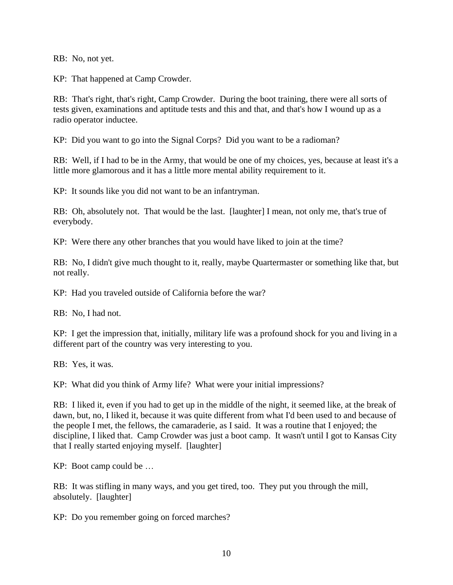RB: No, not yet.

KP: That happened at Camp Crowder.

RB: That's right, that's right, Camp Crowder. During the boot training, there were all sorts of tests given, examinations and aptitude tests and this and that, and that's how I wound up as a radio operator inductee.

KP: Did you want to go into the Signal Corps? Did you want to be a radioman?

RB: Well, if I had to be in the Army, that would be one of my choices, yes, because at least it's a little more glamorous and it has a little more mental ability requirement to it.

KP: It sounds like you did not want to be an infantryman.

RB: Oh, absolutely not. That would be the last. [laughter] I mean, not only me, that's true of everybody.

KP: Were there any other branches that you would have liked to join at the time?

RB: No, I didn't give much thought to it, really, maybe Quartermaster or something like that, but not really.

KP: Had you traveled outside of California before the war?

RB: No, I had not.

KP: I get the impression that, initially, military life was a profound shock for you and living in a different part of the country was very interesting to you.

RB: Yes, it was.

KP: What did you think of Army life? What were your initial impressions?

RB: I liked it, even if you had to get up in the middle of the night, it seemed like, at the break of dawn, but, no, I liked it, because it was quite different from what I'd been used to and because of the people I met, the fellows, the camaraderie, as I said. It was a routine that I enjoyed; the discipline, I liked that. Camp Crowder was just a boot camp. It wasn't until I got to Kansas City that I really started enjoying myself. [laughter]

KP: Boot camp could be …

RB: It was stifling in many ways, and you get tired, too. They put you through the mill, absolutely. [laughter]

KP: Do you remember going on forced marches?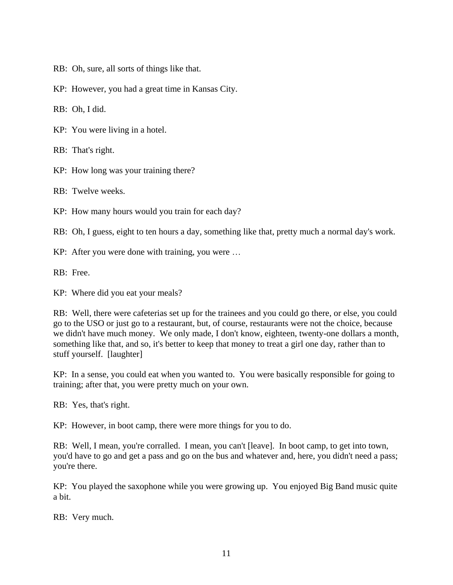- RB: Oh, sure, all sorts of things like that.
- KP: However, you had a great time in Kansas City.

RB: Oh, I did.

KP: You were living in a hotel.

RB: That's right.

KP: How long was your training there?

RB: Twelve weeks.

KP: How many hours would you train for each day?

RB: Oh, I guess, eight to ten hours a day, something like that, pretty much a normal day's work.

KP: After you were done with training, you were …

RB: Free.

KP: Where did you eat your meals?

RB: Well, there were cafeterias set up for the trainees and you could go there, or else, you could go to the USO or just go to a restaurant, but, of course, restaurants were not the choice, because we didn't have much money. We only made, I don't know, eighteen, twenty-one dollars a month, something like that, and so, it's better to keep that money to treat a girl one day, rather than to stuff yourself. [laughter]

KP: In a sense, you could eat when you wanted to. You were basically responsible for going to training; after that, you were pretty much on your own.

RB: Yes, that's right.

KP: However, in boot camp, there were more things for you to do.

RB: Well, I mean, you're corralled. I mean, you can't [leave]. In boot camp, to get into town, you'd have to go and get a pass and go on the bus and whatever and, here, you didn't need a pass; you're there.

KP: You played the saxophone while you were growing up. You enjoyed Big Band music quite a bit.

RB: Very much.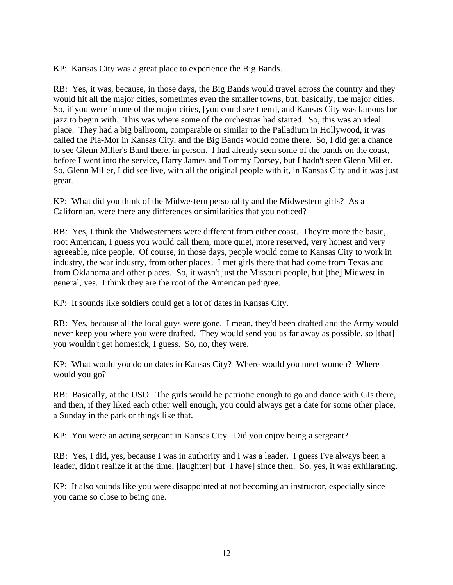KP: Kansas City was a great place to experience the Big Bands.

RB: Yes, it was, because, in those days, the Big Bands would travel across the country and they would hit all the major cities, sometimes even the smaller towns, but, basically, the major cities. So, if you were in one of the major cities, [you could see them], and Kansas City was famous for jazz to begin with. This was where some of the orchestras had started. So, this was an ideal place. They had a big ballroom, comparable or similar to the Palladium in Hollywood, it was called the Pla-Mor in Kansas City, and the Big Bands would come there. So, I did get a chance to see Glenn Miller's Band there, in person. I had already seen some of the bands on the coast, before I went into the service, Harry James and Tommy Dorsey, but I hadn't seen Glenn Miller. So, Glenn Miller, I did see live, with all the original people with it, in Kansas City and it was just great.

KP: What did you think of the Midwestern personality and the Midwestern girls? As a Californian, were there any differences or similarities that you noticed?

RB: Yes, I think the Midwesterners were different from either coast. They're more the basic, root American, I guess you would call them, more quiet, more reserved, very honest and very agreeable, nice people. Of course, in those days, people would come to Kansas City to work in industry, the war industry, from other places. I met girls there that had come from Texas and from Oklahoma and other places. So, it wasn't just the Missouri people, but [the] Midwest in general, yes. I think they are the root of the American pedigree.

KP: It sounds like soldiers could get a lot of dates in Kansas City.

RB: Yes, because all the local guys were gone. I mean, they'd been drafted and the Army would never keep you where you were drafted. They would send you as far away as possible, so [that] you wouldn't get homesick, I guess. So, no, they were.

KP: What would you do on dates in Kansas City? Where would you meet women? Where would you go?

RB: Basically, at the USO. The girls would be patriotic enough to go and dance with GIs there, and then, if they liked each other well enough, you could always get a date for some other place, a Sunday in the park or things like that.

KP: You were an acting sergeant in Kansas City. Did you enjoy being a sergeant?

RB: Yes, I did, yes, because I was in authority and I was a leader. I guess I've always been a leader, didn't realize it at the time, [laughter] but [I have] since then. So, yes, it was exhilarating.

KP: It also sounds like you were disappointed at not becoming an instructor, especially since you came so close to being one.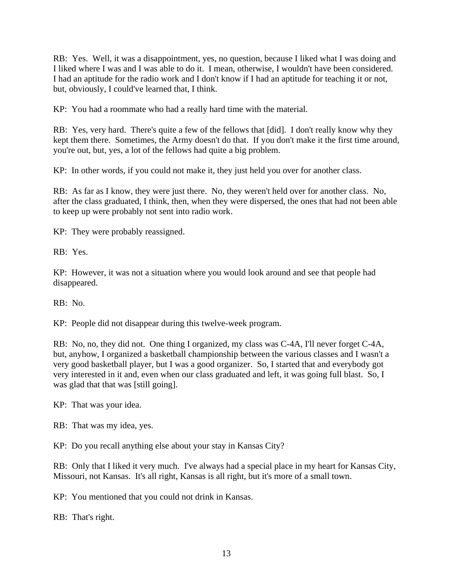RB: Yes. Well, it was a disappointment, yes, no question, because I liked what I was doing and I liked where I was and I was able to do it. I mean, otherwise, I wouldn't have been considered. I had an aptitude for the radio work and I don't know if I had an aptitude for teaching it or not, but, obviously, I could've learned that, I think.

KP: You had a roommate who had a really hard time with the material.

RB: Yes, very hard. There's quite a few of the fellows that [did]. I don't really know why they kept them there. Sometimes, the Army doesn't do that. If you don't make it the first time around, you're out, but, yes, a lot of the fellows had quite a big problem.

KP: In other words, if you could not make it, they just held you over for another class.

RB: As far as I know, they were just there. No, they weren't held over for another class. No, after the class graduated, I think, then, when they were dispersed, the ones that had not been able to keep up were probably not sent into radio work.

KP: They were probably reassigned.

RB: Yes.

KP: However, it was not a situation where you would look around and see that people had disappeared.

RB: No.

KP: People did not disappear during this twelve-week program.

RB: No, no, they did not. One thing I organized, my class was C-4A, I'll never forget C-4A, but, anyhow, I organized a basketball championship between the various classes and I wasn't a very good basketball player, but I was a good organizer. So, I started that and everybody got very interested in it and, even when our class graduated and left, it was going full blast. So, I was glad that that was [still going].

KP: That was your idea.

RB: That was my idea, yes.

KP: Do you recall anything else about your stay in Kansas City?

RB: Only that I liked it very much. I've always had a special place in my heart for Kansas City, Missouri, not Kansas. It's all right, Kansas is all right, but it's more of a small town.

KP: You mentioned that you could not drink in Kansas.

RB: That's right.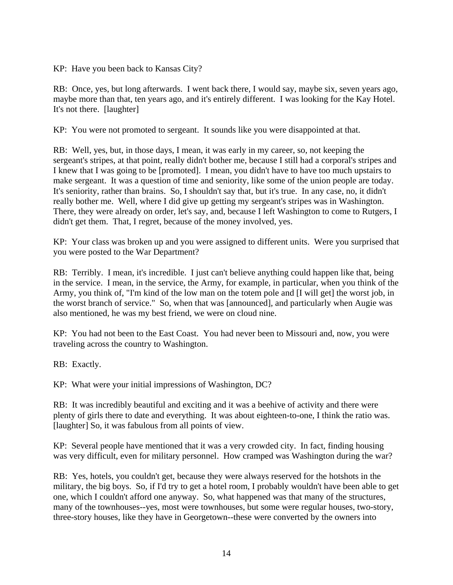KP: Have you been back to Kansas City?

RB: Once, yes, but long afterwards. I went back there, I would say, maybe six, seven years ago, maybe more than that, ten years ago, and it's entirely different. I was looking for the Kay Hotel. It's not there. [laughter]

KP: You were not promoted to sergeant. It sounds like you were disappointed at that.

RB: Well, yes, but, in those days, I mean, it was early in my career, so, not keeping the sergeant's stripes, at that point, really didn't bother me, because I still had a corporal's stripes and I knew that I was going to be [promoted]. I mean, you didn't have to have too much upstairs to make sergeant. It was a question of time and seniority, like some of the union people are today. It's seniority, rather than brains. So, I shouldn't say that, but it's true. In any case, no, it didn't really bother me. Well, where I did give up getting my sergeant's stripes was in Washington. There, they were already on order, let's say, and, because I left Washington to come to Rutgers, I didn't get them. That, I regret, because of the money involved, yes.

KP: Your class was broken up and you were assigned to different units. Were you surprised that you were posted to the War Department?

RB: Terribly. I mean, it's incredible. I just can't believe anything could happen like that, being in the service. I mean, in the service, the Army, for example, in particular, when you think of the Army, you think of, "I'm kind of the low man on the totem pole and [I will get] the worst job, in the worst branch of service." So, when that was [announced], and particularly when Augie was also mentioned, he was my best friend, we were on cloud nine.

KP: You had not been to the East Coast. You had never been to Missouri and, now, you were traveling across the country to Washington.

RB: Exactly.

KP: What were your initial impressions of Washington, DC?

RB: It was incredibly beautiful and exciting and it was a beehive of activity and there were plenty of girls there to date and everything. It was about eighteen-to-one, I think the ratio was. [laughter] So, it was fabulous from all points of view.

KP: Several people have mentioned that it was a very crowded city. In fact, finding housing was very difficult, even for military personnel. How cramped was Washington during the war?

RB: Yes, hotels, you couldn't get, because they were always reserved for the hotshots in the military, the big boys. So, if I'd try to get a hotel room, I probably wouldn't have been able to get one, which I couldn't afford one anyway. So, what happened was that many of the structures, many of the townhouses--yes, most were townhouses, but some were regular houses, two-story, three-story houses, like they have in Georgetown--these were converted by the owners into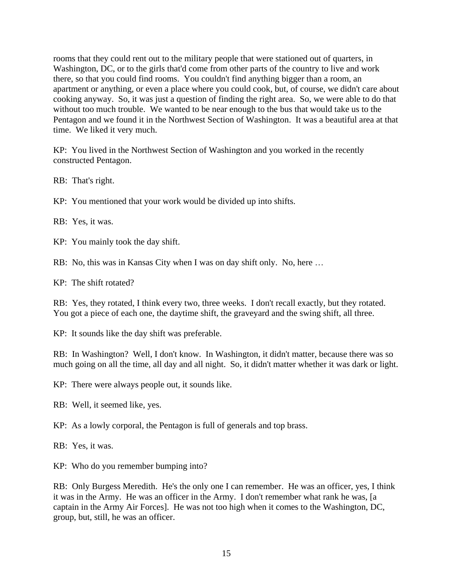rooms that they could rent out to the military people that were stationed out of quarters, in Washington, DC, or to the girls that'd come from other parts of the country to live and work there, so that you could find rooms. You couldn't find anything bigger than a room, an apartment or anything, or even a place where you could cook, but, of course, we didn't care about cooking anyway. So, it was just a question of finding the right area. So, we were able to do that without too much trouble. We wanted to be near enough to the bus that would take us to the Pentagon and we found it in the Northwest Section of Washington. It was a beautiful area at that time. We liked it very much.

KP: You lived in the Northwest Section of Washington and you worked in the recently constructed Pentagon.

RB: That's right.

KP: You mentioned that your work would be divided up into shifts.

RB: Yes, it was.

KP: You mainly took the day shift.

RB: No, this was in Kansas City when I was on day shift only. No, here …

KP: The shift rotated?

RB: Yes, they rotated, I think every two, three weeks. I don't recall exactly, but they rotated. You got a piece of each one, the daytime shift, the graveyard and the swing shift, all three.

KP: It sounds like the day shift was preferable.

RB: In Washington? Well, I don't know. In Washington, it didn't matter, because there was so much going on all the time, all day and all night. So, it didn't matter whether it was dark or light.

KP: There were always people out, it sounds like.

RB: Well, it seemed like, yes.

KP: As a lowly corporal, the Pentagon is full of generals and top brass.

RB: Yes, it was.

KP: Who do you remember bumping into?

RB: Only Burgess Meredith. He's the only one I can remember. He was an officer, yes, I think it was in the Army. He was an officer in the Army. I don't remember what rank he was, [a captain in the Army Air Forces]. He was not too high when it comes to the Washington, DC, group, but, still, he was an officer.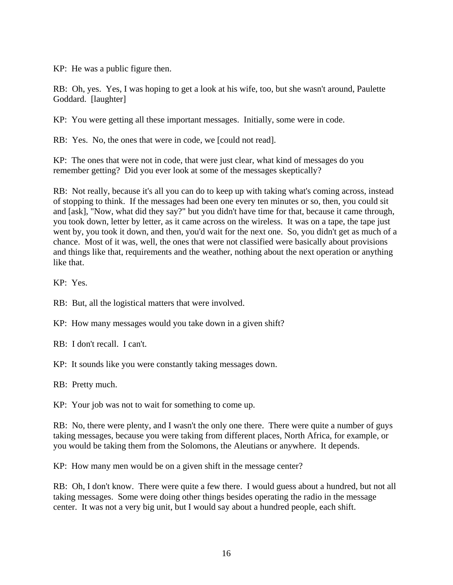KP: He was a public figure then.

RB: Oh, yes. Yes, I was hoping to get a look at his wife, too, but she wasn't around, Paulette Goddard. [laughter]

KP: You were getting all these important messages. Initially, some were in code.

RB: Yes. No, the ones that were in code, we [could not read].

KP: The ones that were not in code, that were just clear, what kind of messages do you remember getting? Did you ever look at some of the messages skeptically?

RB: Not really, because it's all you can do to keep up with taking what's coming across, instead of stopping to think. If the messages had been one every ten minutes or so, then, you could sit and [ask], "Now, what did they say?" but you didn't have time for that, because it came through, you took down, letter by letter, as it came across on the wireless. It was on a tape, the tape just went by, you took it down, and then, you'd wait for the next one. So, you didn't get as much of a chance. Most of it was, well, the ones that were not classified were basically about provisions and things like that, requirements and the weather, nothing about the next operation or anything like that.

KP: Yes.

- RB: But, all the logistical matters that were involved.
- KP: How many messages would you take down in a given shift?

RB: I don't recall. I can't.

KP: It sounds like you were constantly taking messages down.

RB: Pretty much.

KP: Your job was not to wait for something to come up.

RB: No, there were plenty, and I wasn't the only one there. There were quite a number of guys taking messages, because you were taking from different places, North Africa, for example, or you would be taking them from the Solomons, the Aleutians or anywhere. It depends.

KP: How many men would be on a given shift in the message center?

RB: Oh, I don't know. There were quite a few there. I would guess about a hundred, but not all taking messages. Some were doing other things besides operating the radio in the message center. It was not a very big unit, but I would say about a hundred people, each shift.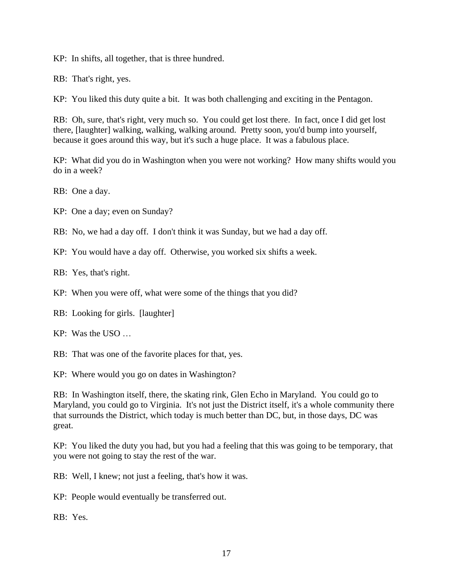KP: In shifts, all together, that is three hundred.

RB: That's right, yes.

KP: You liked this duty quite a bit. It was both challenging and exciting in the Pentagon.

RB: Oh, sure, that's right, very much so. You could get lost there. In fact, once I did get lost there, [laughter] walking, walking, walking around. Pretty soon, you'd bump into yourself, because it goes around this way, but it's such a huge place. It was a fabulous place.

KP: What did you do in Washington when you were not working? How many shifts would you do in a week?

RB: One a day.

KP: One a day; even on Sunday?

RB: No, we had a day off. I don't think it was Sunday, but we had a day off.

KP: You would have a day off. Otherwise, you worked six shifts a week.

RB: Yes, that's right.

KP: When you were off, what were some of the things that you did?

RB: Looking for girls. [laughter]

KP: Was the USO …

RB: That was one of the favorite places for that, yes.

KP: Where would you go on dates in Washington?

RB: In Washington itself, there, the skating rink, Glen Echo in Maryland. You could go to Maryland, you could go to Virginia. It's not just the District itself, it's a whole community there that surrounds the District, which today is much better than DC, but, in those days, DC was great.

KP: You liked the duty you had, but you had a feeling that this was going to be temporary, that you were not going to stay the rest of the war.

RB: Well, I knew; not just a feeling, that's how it was.

KP: People would eventually be transferred out.

RB: Yes.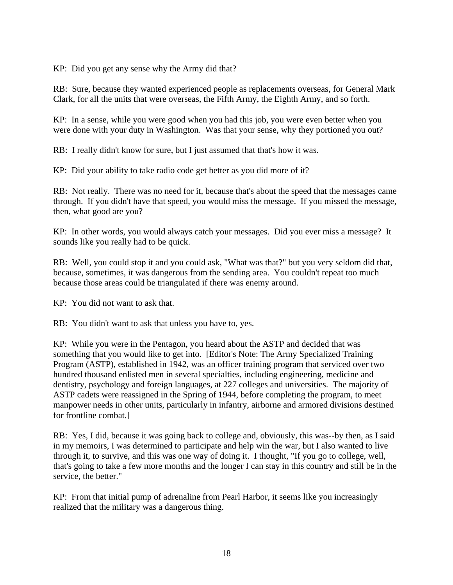KP: Did you get any sense why the Army did that?

RB: Sure, because they wanted experienced people as replacements overseas, for General Mark Clark, for all the units that were overseas, the Fifth Army, the Eighth Army, and so forth.

KP: In a sense, while you were good when you had this job, you were even better when you were done with your duty in Washington. Was that your sense, why they portioned you out?

RB: I really didn't know for sure, but I just assumed that that's how it was.

KP: Did your ability to take radio code get better as you did more of it?

RB: Not really. There was no need for it, because that's about the speed that the messages came through. If you didn't have that speed, you would miss the message. If you missed the message, then, what good are you?

KP: In other words, you would always catch your messages. Did you ever miss a message? It sounds like you really had to be quick.

RB: Well, you could stop it and you could ask, "What was that?" but you very seldom did that, because, sometimes, it was dangerous from the sending area. You couldn't repeat too much because those areas could be triangulated if there was enemy around.

KP: You did not want to ask that.

RB: You didn't want to ask that unless you have to, yes.

KP: While you were in the Pentagon, you heard about the ASTP and decided that was something that you would like to get into. [Editor's Note: The Army Specialized Training Program (ASTP), established in 1942, was an officer training program that serviced over two hundred thousand enlisted men in several specialties, including engineering, medicine and dentistry, psychology and foreign languages, at 227 colleges and universities. The majority of ASTP cadets were reassigned in the Spring of 1944, before completing the program, to meet manpower needs in other units, particularly in infantry, airborne and armored divisions destined for frontline combat.]

RB: Yes, I did, because it was going back to college and, obviously, this was--by then, as I said in my memoirs, I was determined to participate and help win the war, but I also wanted to live through it, to survive, and this was one way of doing it. I thought, "If you go to college, well, that's going to take a few more months and the longer I can stay in this country and still be in the service, the better."

KP: From that initial pump of adrenaline from Pearl Harbor, it seems like you increasingly realized that the military was a dangerous thing.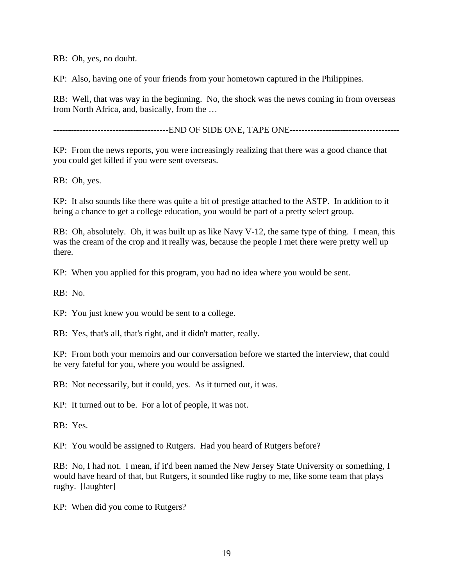RB: Oh, yes, no doubt.

KP: Also, having one of your friends from your hometown captured in the Philippines.

RB: Well, that was way in the beginning. No, the shock was the news coming in from overseas from North Africa, and, basically, from the …

-------------------------------END OF SIDE ONE, TAPE ONE-------------------------------

KP: From the news reports, you were increasingly realizing that there was a good chance that you could get killed if you were sent overseas.

RB: Oh, yes.

KP: It also sounds like there was quite a bit of prestige attached to the ASTP. In addition to it being a chance to get a college education, you would be part of a pretty select group.

RB: Oh, absolutely. Oh, it was built up as like Navy V-12, the same type of thing. I mean, this was the cream of the crop and it really was, because the people I met there were pretty well up there.

KP: When you applied for this program, you had no idea where you would be sent.

RB: No.

KP: You just knew you would be sent to a college.

RB: Yes, that's all, that's right, and it didn't matter, really.

KP: From both your memoirs and our conversation before we started the interview, that could be very fateful for you, where you would be assigned.

RB: Not necessarily, but it could, yes. As it turned out, it was.

KP: It turned out to be. For a lot of people, it was not.

RB: Yes.

KP: You would be assigned to Rutgers. Had you heard of Rutgers before?

RB: No, I had not. I mean, if it'd been named the New Jersey State University or something, I would have heard of that, but Rutgers, it sounded like rugby to me, like some team that plays rugby. [laughter]

KP: When did you come to Rutgers?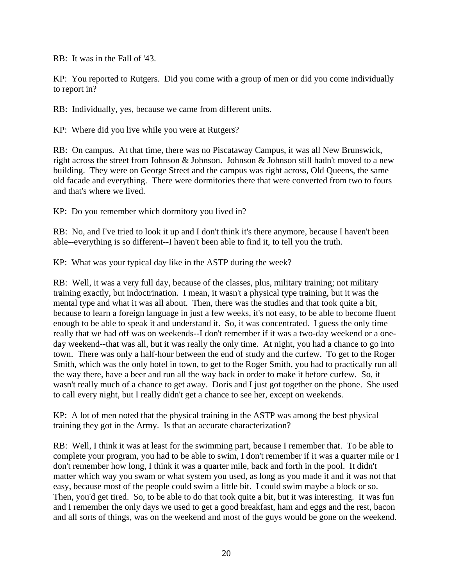RB: It was in the Fall of '43.

KP: You reported to Rutgers. Did you come with a group of men or did you come individually to report in?

RB: Individually, yes, because we came from different units.

KP: Where did you live while you were at Rutgers?

RB: On campus. At that time, there was no Piscataway Campus, it was all New Brunswick, right across the street from Johnson & Johnson. Johnson & Johnson still hadn't moved to a new building. They were on George Street and the campus was right across, Old Queens, the same old facade and everything. There were dormitories there that were converted from two to fours and that's where we lived.

KP: Do you remember which dormitory you lived in?

RB: No, and I've tried to look it up and I don't think it's there anymore, because I haven't been able--everything is so different--I haven't been able to find it, to tell you the truth.

KP: What was your typical day like in the ASTP during the week?

RB: Well, it was a very full day, because of the classes, plus, military training; not military training exactly, but indoctrination. I mean, it wasn't a physical type training, but it was the mental type and what it was all about. Then, there was the studies and that took quite a bit, because to learn a foreign language in just a few weeks, it's not easy, to be able to become fluent enough to be able to speak it and understand it. So, it was concentrated. I guess the only time really that we had off was on weekends--I don't remember if it was a two-day weekend or a oneday weekend--that was all, but it was really the only time. At night, you had a chance to go into town. There was only a half-hour between the end of study and the curfew. To get to the Roger Smith, which was the only hotel in town, to get to the Roger Smith, you had to practically run all the way there, have a beer and run all the way back in order to make it before curfew. So, it wasn't really much of a chance to get away. Doris and I just got together on the phone. She used to call every night, but I really didn't get a chance to see her, except on weekends.

KP: A lot of men noted that the physical training in the ASTP was among the best physical training they got in the Army. Is that an accurate characterization?

RB: Well, I think it was at least for the swimming part, because I remember that. To be able to complete your program, you had to be able to swim, I don't remember if it was a quarter mile or I don't remember how long, I think it was a quarter mile, back and forth in the pool. It didn't matter which way you swam or what system you used, as long as you made it and it was not that easy, because most of the people could swim a little bit. I could swim maybe a block or so. Then, you'd get tired. So, to be able to do that took quite a bit, but it was interesting. It was fun and I remember the only days we used to get a good breakfast, ham and eggs and the rest, bacon and all sorts of things, was on the weekend and most of the guys would be gone on the weekend.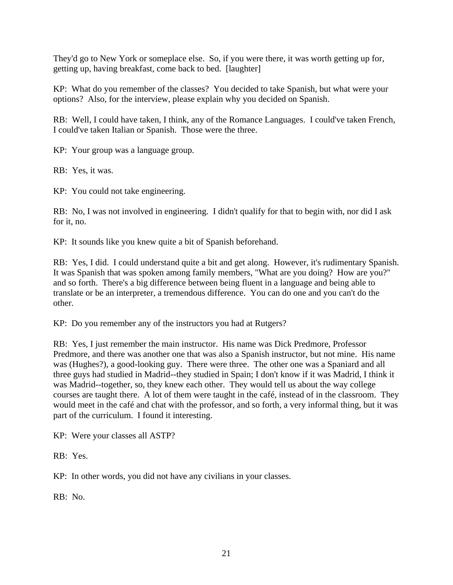They'd go to New York or someplace else. So, if you were there, it was worth getting up for, getting up, having breakfast, come back to bed. [laughter]

KP: What do you remember of the classes? You decided to take Spanish, but what were your options? Also, for the interview, please explain why you decided on Spanish.

RB: Well, I could have taken, I think, any of the Romance Languages. I could've taken French, I could've taken Italian or Spanish. Those were the three.

KP: Your group was a language group.

RB: Yes, it was.

KP: You could not take engineering.

RB: No, I was not involved in engineering. I didn't qualify for that to begin with, nor did I ask for it, no.

KP: It sounds like you knew quite a bit of Spanish beforehand.

RB: Yes, I did. I could understand quite a bit and get along. However, it's rudimentary Spanish. It was Spanish that was spoken among family members, "What are you doing? How are you?" and so forth. There's a big difference between being fluent in a language and being able to translate or be an interpreter, a tremendous difference. You can do one and you can't do the other.

KP: Do you remember any of the instructors you had at Rutgers?

RB: Yes, I just remember the main instructor. His name was Dick Predmore, Professor Predmore, and there was another one that was also a Spanish instructor, but not mine. His name was (Hughes?), a good-looking guy. There were three. The other one was a Spaniard and all three guys had studied in Madrid--they studied in Spain; I don't know if it was Madrid, I think it was Madrid--together, so, they knew each other. They would tell us about the way college courses are taught there. A lot of them were taught in the café, instead of in the classroom. They would meet in the café and chat with the professor, and so forth, a very informal thing, but it was part of the curriculum. I found it interesting.

KP: Were your classes all ASTP?

RB: Yes.

KP: In other words, you did not have any civilians in your classes.

RB: No.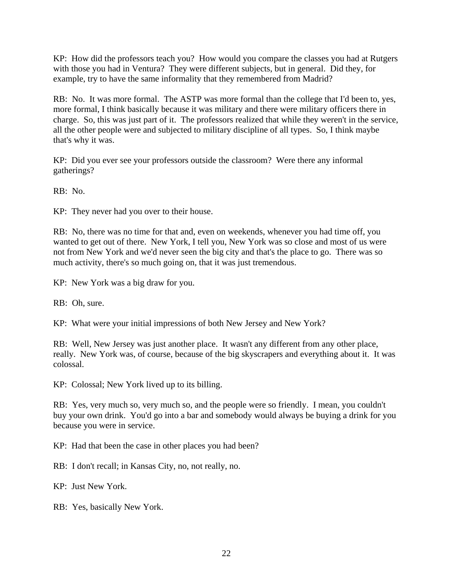KP: How did the professors teach you? How would you compare the classes you had at Rutgers with those you had in Ventura? They were different subjects, but in general. Did they, for example, try to have the same informality that they remembered from Madrid?

RB: No. It was more formal. The ASTP was more formal than the college that I'd been to, yes, more formal, I think basically because it was military and there were military officers there in charge. So, this was just part of it. The professors realized that while they weren't in the service, all the other people were and subjected to military discipline of all types. So, I think maybe that's why it was.

KP: Did you ever see your professors outside the classroom? Were there any informal gatherings?

RB: No.

KP: They never had you over to their house.

RB: No, there was no time for that and, even on weekends, whenever you had time off, you wanted to get out of there. New York, I tell you, New York was so close and most of us were not from New York and we'd never seen the big city and that's the place to go. There was so much activity, there's so much going on, that it was just tremendous.

KP: New York was a big draw for you.

RB: Oh, sure.

KP: What were your initial impressions of both New Jersey and New York?

RB: Well, New Jersey was just another place. It wasn't any different from any other place, really. New York was, of course, because of the big skyscrapers and everything about it. It was colossal.

KP: Colossal; New York lived up to its billing.

RB: Yes, very much so, very much so, and the people were so friendly. I mean, you couldn't buy your own drink. You'd go into a bar and somebody would always be buying a drink for you because you were in service.

KP: Had that been the case in other places you had been?

RB: I don't recall; in Kansas City, no, not really, no.

KP: Just New York.

RB: Yes, basically New York.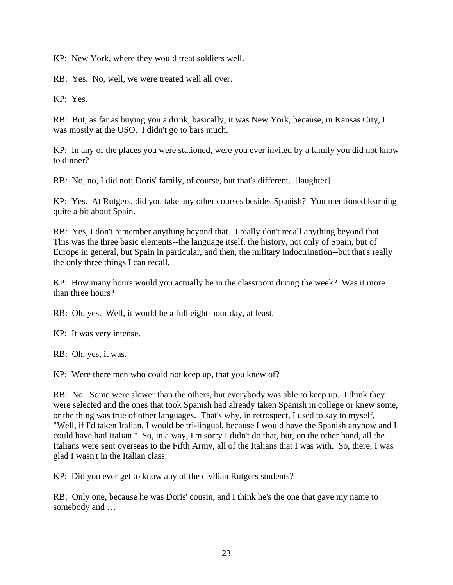KP: New York, where they would treat soldiers well.

RB: Yes. No, well, we were treated well all over.

KP: Yes.

RB: But, as far as buying you a drink, basically, it was New York, because, in Kansas City, I was mostly at the USO. I didn't go to bars much.

KP: In any of the places you were stationed, were you ever invited by a family you did not know to dinner?

RB: No, no, I did not; Doris' family, of course, but that's different. [laughter]

KP: Yes. At Rutgers, did you take any other courses besides Spanish? You mentioned learning quite a bit about Spain.

RB: Yes, I don't remember anything beyond that. I really don't recall anything beyond that. This was the three basic elements--the language itself, the history, not only of Spain, but of Europe in general, but Spain in particular, and then, the military indoctrination--but that's really the only three things I can recall.

KP: How many hours would you actually be in the classroom during the week? Was it more than three hours?

RB: Oh, yes. Well, it would be a full eight-hour day, at least.

KP: It was very intense.

RB: Oh, yes, it was.

KP: Were there men who could not keep up, that you knew of?

RB: No. Some were slower than the others, but everybody was able to keep up. I think they were selected and the ones that took Spanish had already taken Spanish in college or knew some, or the thing was true of other languages. That's why, in retrospect, I used to say to myself, "Well, if I'd taken Italian, I would be tri-lingual, because I would have the Spanish anyhow and I could have had Italian." So, in a way, I'm sorry I didn't do that, but, on the other hand, all the Italians were sent overseas to the Fifth Army, all of the Italians that I was with. So, there, I was glad I wasn't in the Italian class.

KP: Did you ever get to know any of the civilian Rutgers students?

RB: Only one, because he was Doris' cousin, and I think he's the one that gave my name to somebody and …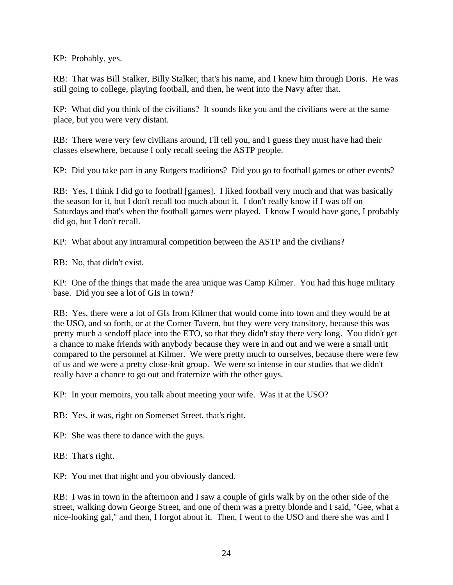KP: Probably, yes.

RB: That was Bill Stalker, Billy Stalker, that's his name, and I knew him through Doris. He was still going to college, playing football, and then, he went into the Navy after that.

KP: What did you think of the civilians? It sounds like you and the civilians were at the same place, but you were very distant.

RB: There were very few civilians around, I'll tell you, and I guess they must have had their classes elsewhere, because I only recall seeing the ASTP people.

KP: Did you take part in any Rutgers traditions? Did you go to football games or other events?

RB: Yes, I think I did go to football [games]. I liked football very much and that was basically the season for it, but I don't recall too much about it. I don't really know if I was off on Saturdays and that's when the football games were played. I know I would have gone, I probably did go, but I don't recall.

KP: What about any intramural competition between the ASTP and the civilians?

RB: No, that didn't exist.

KP: One of the things that made the area unique was Camp Kilmer. You had this huge military base. Did you see a lot of GIs in town?

RB: Yes, there were a lot of GIs from Kilmer that would come into town and they would be at the USO, and so forth, or at the Corner Tavern, but they were very transitory, because this was pretty much a sendoff place into the ETO, so that they didn't stay there very long. You didn't get a chance to make friends with anybody because they were in and out and we were a small unit compared to the personnel at Kilmer. We were pretty much to ourselves, because there were few of us and we were a pretty close-knit group. We were so intense in our studies that we didn't really have a chance to go out and fraternize with the other guys.

KP: In your memoirs, you talk about meeting your wife. Was it at the USO?

RB: Yes, it was, right on Somerset Street, that's right.

KP: She was there to dance with the guys.

RB: That's right.

KP: You met that night and you obviously danced.

RB: I was in town in the afternoon and I saw a couple of girls walk by on the other side of the street, walking down George Street, and one of them was a pretty blonde and I said, "Gee, what a nice-looking gal," and then, I forgot about it. Then, I went to the USO and there she was and I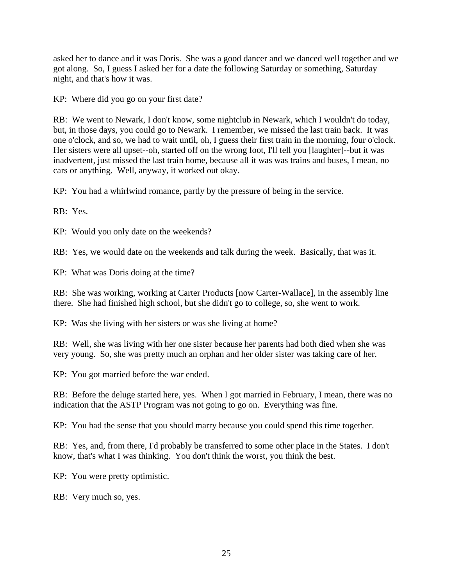asked her to dance and it was Doris. She was a good dancer and we danced well together and we got along. So, I guess I asked her for a date the following Saturday or something, Saturday night, and that's how it was.

KP: Where did you go on your first date?

RB: We went to Newark, I don't know, some nightclub in Newark, which I wouldn't do today, but, in those days, you could go to Newark. I remember, we missed the last train back. It was one o'clock, and so, we had to wait until, oh, I guess their first train in the morning, four o'clock. Her sisters were all upset--oh, started off on the wrong foot, I'll tell you [laughter]--but it was inadvertent, just missed the last train home, because all it was was trains and buses, I mean, no cars or anything. Well, anyway, it worked out okay.

KP: You had a whirlwind romance, partly by the pressure of being in the service.

RB: Yes.

KP: Would you only date on the weekends?

RB: Yes, we would date on the weekends and talk during the week. Basically, that was it.

KP: What was Doris doing at the time?

RB: She was working, working at Carter Products [now Carter-Wallace], in the assembly line there. She had finished high school, but she didn't go to college, so, she went to work.

KP: Was she living with her sisters or was she living at home?

RB: Well, she was living with her one sister because her parents had both died when she was very young. So, she was pretty much an orphan and her older sister was taking care of her.

KP: You got married before the war ended.

RB: Before the deluge started here, yes. When I got married in February, I mean, there was no indication that the ASTP Program was not going to go on. Everything was fine.

KP: You had the sense that you should marry because you could spend this time together.

RB: Yes, and, from there, I'd probably be transferred to some other place in the States. I don't know, that's what I was thinking. You don't think the worst, you think the best.

KP: You were pretty optimistic.

RB: Very much so, yes.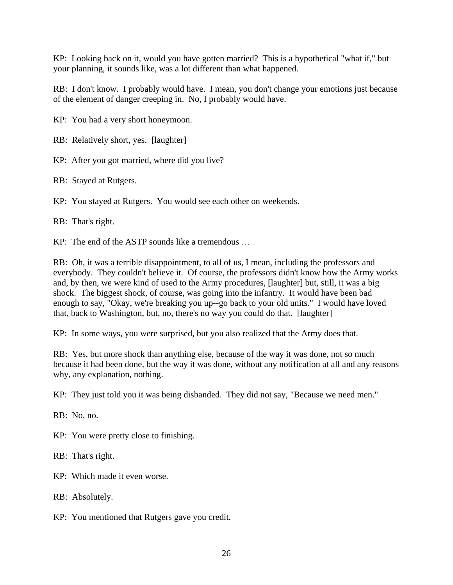KP: Looking back on it, would you have gotten married? This is a hypothetical "what if," but your planning, it sounds like, was a lot different than what happened.

RB: I don't know. I probably would have. I mean, you don't change your emotions just because of the element of danger creeping in. No, I probably would have.

KP: You had a very short honeymoon.

RB: Relatively short, yes. [laughter]

KP: After you got married, where did you live?

RB: Stayed at Rutgers.

KP: You stayed at Rutgers. You would see each other on weekends.

RB: That's right.

KP: The end of the ASTP sounds like a tremendous …

RB: Oh, it was a terrible disappointment, to all of us, I mean, including the professors and everybody. They couldn't believe it. Of course, the professors didn't know how the Army works and, by then, we were kind of used to the Army procedures, [laughter] but, still, it was a big shock. The biggest shock, of course, was going into the infantry. It would have been bad enough to say, "Okay, we're breaking you up--go back to your old units." I would have loved that, back to Washington, but, no, there's no way you could do that. [laughter]

KP: In some ways, you were surprised, but you also realized that the Army does that.

RB: Yes, but more shock than anything else, because of the way it was done, not so much because it had been done, but the way it was done, without any notification at all and any reasons why, any explanation, nothing.

KP: They just told you it was being disbanded. They did not say, "Because we need men."

RB: No, no.

KP: You were pretty close to finishing.

RB: That's right.

KP: Which made it even worse.

RB: Absolutely.

KP: You mentioned that Rutgers gave you credit.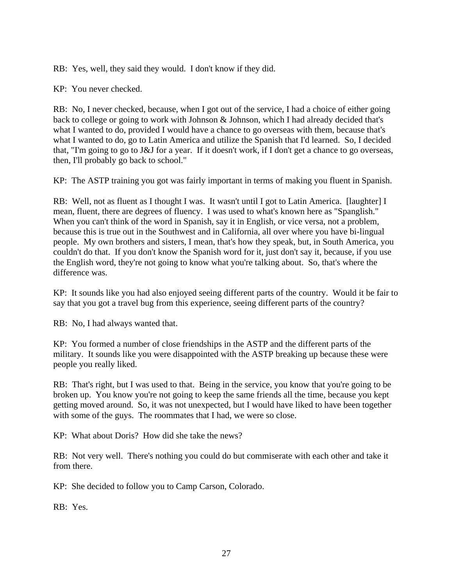RB: Yes, well, they said they would. I don't know if they did.

KP: You never checked.

RB: No, I never checked, because, when I got out of the service, I had a choice of either going back to college or going to work with Johnson & Johnson, which I had already decided that's what I wanted to do, provided I would have a chance to go overseas with them, because that's what I wanted to do, go to Latin America and utilize the Spanish that I'd learned. So, I decided that, "I'm going to go to J&J for a year. If it doesn't work, if I don't get a chance to go overseas, then, I'll probably go back to school."

KP: The ASTP training you got was fairly important in terms of making you fluent in Spanish.

RB: Well, not as fluent as I thought I was. It wasn't until I got to Latin America. [laughter] I mean, fluent, there are degrees of fluency. I was used to what's known here as "Spanglish." When you can't think of the word in Spanish, say it in English, or vice versa, not a problem, because this is true out in the Southwest and in California, all over where you have bi-lingual people. My own brothers and sisters, I mean, that's how they speak, but, in South America, you couldn't do that. If you don't know the Spanish word for it, just don't say it, because, if you use the English word, they're not going to know what you're talking about. So, that's where the difference was.

KP: It sounds like you had also enjoyed seeing different parts of the country. Would it be fair to say that you got a travel bug from this experience, seeing different parts of the country?

RB: No, I had always wanted that.

KP: You formed a number of close friendships in the ASTP and the different parts of the military. It sounds like you were disappointed with the ASTP breaking up because these were people you really liked.

RB: That's right, but I was used to that. Being in the service, you know that you're going to be broken up. You know you're not going to keep the same friends all the time, because you kept getting moved around. So, it was not unexpected, but I would have liked to have been together with some of the guys. The roommates that I had, we were so close.

KP: What about Doris? How did she take the news?

RB: Not very well. There's nothing you could do but commiserate with each other and take it from there.

KP: She decided to follow you to Camp Carson, Colorado.

RB: Yes.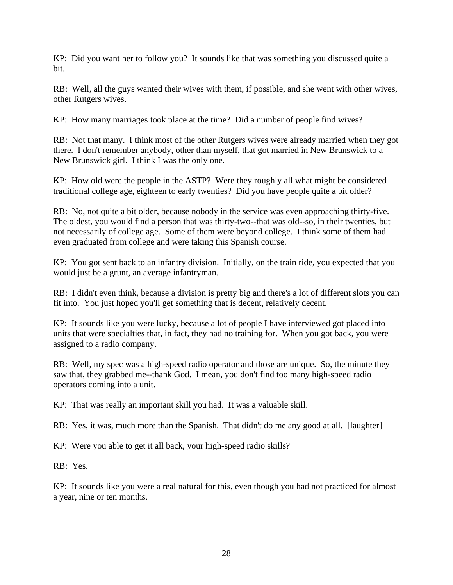KP: Did you want her to follow you? It sounds like that was something you discussed quite a bit.

RB: Well, all the guys wanted their wives with them, if possible, and she went with other wives, other Rutgers wives.

KP: How many marriages took place at the time? Did a number of people find wives?

RB: Not that many. I think most of the other Rutgers wives were already married when they got there. I don't remember anybody, other than myself, that got married in New Brunswick to a New Brunswick girl. I think I was the only one.

KP: How old were the people in the ASTP? Were they roughly all what might be considered traditional college age, eighteen to early twenties? Did you have people quite a bit older?

RB: No, not quite a bit older, because nobody in the service was even approaching thirty-five. The oldest, you would find a person that was thirty-two--that was old--so, in their twenties, but not necessarily of college age. Some of them were beyond college. I think some of them had even graduated from college and were taking this Spanish course.

KP: You got sent back to an infantry division. Initially, on the train ride, you expected that you would just be a grunt, an average infantryman.

RB: I didn't even think, because a division is pretty big and there's a lot of different slots you can fit into. You just hoped you'll get something that is decent, relatively decent.

KP: It sounds like you were lucky, because a lot of people I have interviewed got placed into units that were specialties that, in fact, they had no training for. When you got back, you were assigned to a radio company.

RB: Well, my spec was a high-speed radio operator and those are unique. So, the minute they saw that, they grabbed me--thank God. I mean, you don't find too many high-speed radio operators coming into a unit.

KP: That was really an important skill you had. It was a valuable skill.

RB: Yes, it was, much more than the Spanish. That didn't do me any good at all. [laughter]

KP: Were you able to get it all back, your high-speed radio skills?

RB: Yes.

KP: It sounds like you were a real natural for this, even though you had not practiced for almost a year, nine or ten months.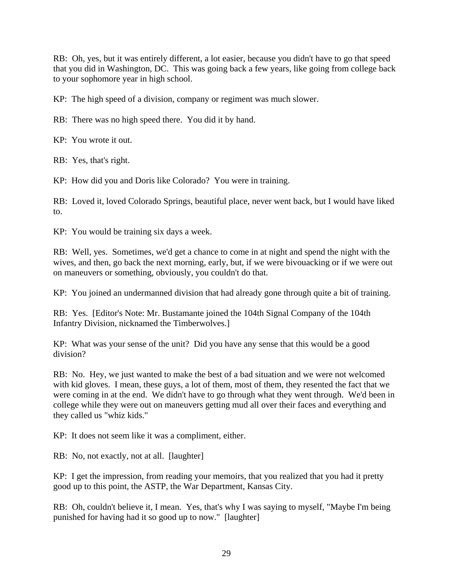RB: Oh, yes, but it was entirely different, a lot easier, because you didn't have to go that speed that you did in Washington, DC. This was going back a few years, like going from college back to your sophomore year in high school.

KP: The high speed of a division, company or regiment was much slower.

RB: There was no high speed there. You did it by hand.

KP: You wrote it out.

RB: Yes, that's right.

KP: How did you and Doris like Colorado? You were in training.

RB: Loved it, loved Colorado Springs, beautiful place, never went back, but I would have liked to.

KP: You would be training six days a week.

RB: Well, yes. Sometimes, we'd get a chance to come in at night and spend the night with the wives, and then, go back the next morning, early, but, if we were bivouacking or if we were out on maneuvers or something, obviously, you couldn't do that.

KP: You joined an undermanned division that had already gone through quite a bit of training.

RB: Yes. [Editor's Note: Mr. Bustamante joined the 104th Signal Company of the 104th Infantry Division, nicknamed the Timberwolves.]

KP: What was your sense of the unit? Did you have any sense that this would be a good division?

RB: No. Hey, we just wanted to make the best of a bad situation and we were not welcomed with kid gloves. I mean, these guys, a lot of them, most of them, they resented the fact that we were coming in at the end. We didn't have to go through what they went through. We'd been in college while they were out on maneuvers getting mud all over their faces and everything and they called us "whiz kids."

KP: It does not seem like it was a compliment, either.

RB: No, not exactly, not at all. [laughter]

KP: I get the impression, from reading your memoirs, that you realized that you had it pretty good up to this point, the ASTP, the War Department, Kansas City.

RB: Oh, couldn't believe it, I mean. Yes, that's why I was saying to myself, "Maybe I'm being punished for having had it so good up to now." [laughter]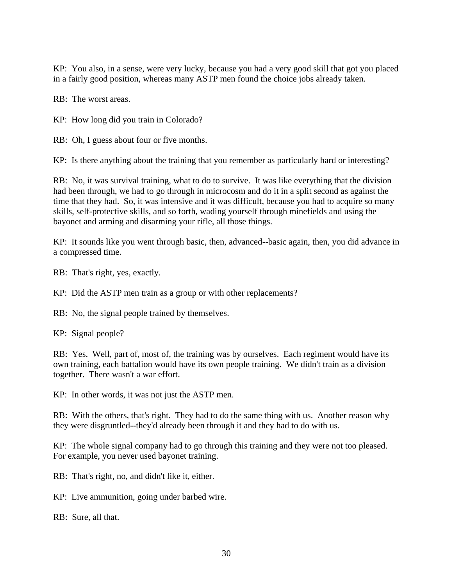KP: You also, in a sense, were very lucky, because you had a very good skill that got you placed in a fairly good position, whereas many ASTP men found the choice jobs already taken.

RB: The worst areas.

KP: How long did you train in Colorado?

RB: Oh, I guess about four or five months.

KP: Is there anything about the training that you remember as particularly hard or interesting?

RB: No, it was survival training, what to do to survive. It was like everything that the division had been through, we had to go through in microcosm and do it in a split second as against the time that they had. So, it was intensive and it was difficult, because you had to acquire so many skills, self-protective skills, and so forth, wading yourself through minefields and using the bayonet and arming and disarming your rifle, all those things.

KP: It sounds like you went through basic, then, advanced--basic again, then, you did advance in a compressed time.

RB: That's right, yes, exactly.

KP: Did the ASTP men train as a group or with other replacements?

RB: No, the signal people trained by themselves.

KP: Signal people?

RB: Yes. Well, part of, most of, the training was by ourselves. Each regiment would have its own training, each battalion would have its own people training. We didn't train as a division together. There wasn't a war effort.

KP: In other words, it was not just the ASTP men.

RB: With the others, that's right. They had to do the same thing with us. Another reason why they were disgruntled--they'd already been through it and they had to do with us.

KP: The whole signal company had to go through this training and they were not too pleased. For example, you never used bayonet training.

RB: That's right, no, and didn't like it, either.

KP: Live ammunition, going under barbed wire.

RB: Sure, all that.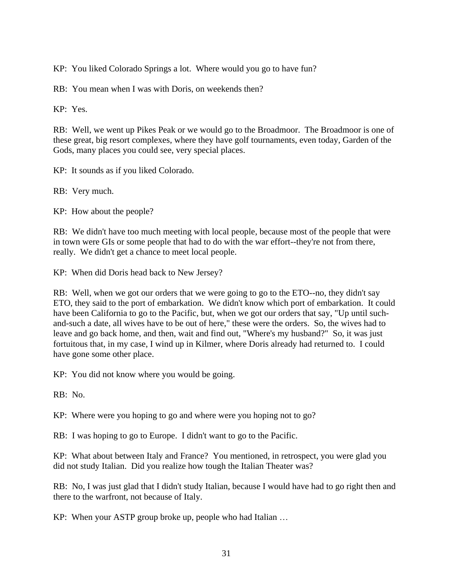KP: You liked Colorado Springs a lot. Where would you go to have fun?

RB: You mean when I was with Doris, on weekends then?

KP: Yes.

RB: Well, we went up Pikes Peak or we would go to the Broadmoor. The Broadmoor is one of these great, big resort complexes, where they have golf tournaments, even today, Garden of the Gods, many places you could see, very special places.

KP: It sounds as if you liked Colorado.

RB: Very much.

KP: How about the people?

RB: We didn't have too much meeting with local people, because most of the people that were in town were GIs or some people that had to do with the war effort--they're not from there, really. We didn't get a chance to meet local people.

KP: When did Doris head back to New Jersey?

RB: Well, when we got our orders that we were going to go to the ETO--no, they didn't say ETO, they said to the port of embarkation. We didn't know which port of embarkation. It could have been California to go to the Pacific, but, when we got our orders that say, "Up until suchand-such a date, all wives have to be out of here," these were the orders. So, the wives had to leave and go back home, and then, wait and find out, "Where's my husband?" So, it was just fortuitous that, in my case, I wind up in Kilmer, where Doris already had returned to. I could have gone some other place.

KP: You did not know where you would be going.

RB: No.

KP: Where were you hoping to go and where were you hoping not to go?

RB: I was hoping to go to Europe. I didn't want to go to the Pacific.

KP: What about between Italy and France? You mentioned, in retrospect, you were glad you did not study Italian. Did you realize how tough the Italian Theater was?

RB: No, I was just glad that I didn't study Italian, because I would have had to go right then and there to the warfront, not because of Italy.

KP: When your ASTP group broke up, people who had Italian …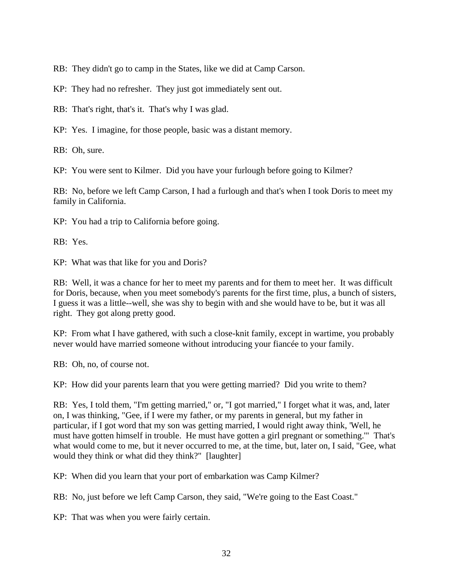RB: They didn't go to camp in the States, like we did at Camp Carson.

KP: They had no refresher. They just got immediately sent out.

RB: That's right, that's it. That's why I was glad.

KP: Yes. I imagine, for those people, basic was a distant memory.

RB: Oh, sure.

KP: You were sent to Kilmer. Did you have your furlough before going to Kilmer?

RB: No, before we left Camp Carson, I had a furlough and that's when I took Doris to meet my family in California.

KP: You had a trip to California before going.

RB: Yes.

KP: What was that like for you and Doris?

RB: Well, it was a chance for her to meet my parents and for them to meet her. It was difficult for Doris, because, when you meet somebody's parents for the first time, plus, a bunch of sisters, I guess it was a little--well, she was shy to begin with and she would have to be, but it was all right. They got along pretty good.

KP: From what I have gathered, with such a close-knit family, except in wartime, you probably never would have married someone without introducing your fiancée to your family.

RB: Oh, no, of course not.

KP: How did your parents learn that you were getting married? Did you write to them?

RB: Yes, I told them, "I'm getting married," or, "I got married," I forget what it was, and, later on, I was thinking, "Gee, if I were my father, or my parents in general, but my father in particular, if I got word that my son was getting married, I would right away think, 'Well, he must have gotten himself in trouble. He must have gotten a girl pregnant or something.'" That's what would come to me, but it never occurred to me, at the time, but, later on, I said, "Gee, what would they think or what did they think?" [laughter]

KP: When did you learn that your port of embarkation was Camp Kilmer?

RB: No, just before we left Camp Carson, they said, "We're going to the East Coast."

KP: That was when you were fairly certain.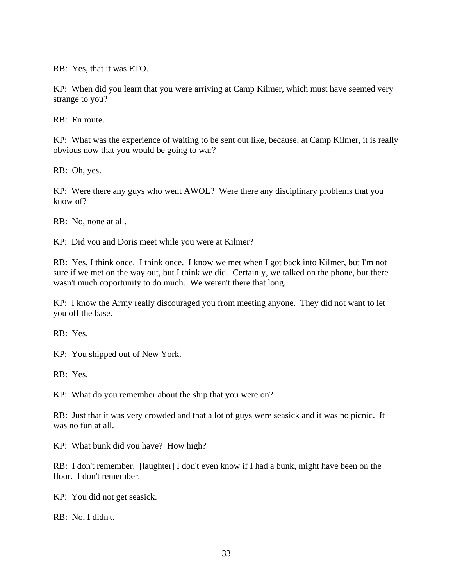RB: Yes, that it was ETO.

KP: When did you learn that you were arriving at Camp Kilmer, which must have seemed very strange to you?

RB: En route.

KP: What was the experience of waiting to be sent out like, because, at Camp Kilmer, it is really obvious now that you would be going to war?

RB: Oh, yes.

KP: Were there any guys who went AWOL? Were there any disciplinary problems that you know of?

RB: No, none at all.

KP: Did you and Doris meet while you were at Kilmer?

RB: Yes, I think once. I think once. I know we met when I got back into Kilmer, but I'm not sure if we met on the way out, but I think we did. Certainly, we talked on the phone, but there wasn't much opportunity to do much. We weren't there that long.

KP: I know the Army really discouraged you from meeting anyone. They did not want to let you off the base.

RB: Yes.

KP: You shipped out of New York.

RB: Yes.

KP: What do you remember about the ship that you were on?

RB: Just that it was very crowded and that a lot of guys were seasick and it was no picnic. It was no fun at all.

KP: What bunk did you have? How high?

RB: I don't remember. [laughter] I don't even know if I had a bunk, might have been on the floor. I don't remember.

KP: You did not get seasick.

RB: No, I didn't.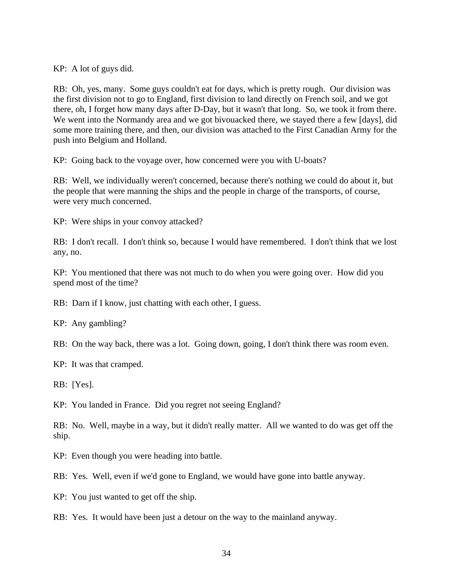KP: A lot of guys did.

RB: Oh, yes, many. Some guys couldn't eat for days, which is pretty rough. Our division was the first division not to go to England, first division to land directly on French soil, and we got there, oh, I forget how many days after D-Day, but it wasn't that long. So, we took it from there. We went into the Normandy area and we got bivouacked there, we stayed there a few [days], did some more training there, and then, our division was attached to the First Canadian Army for the push into Belgium and Holland.

KP: Going back to the voyage over, how concerned were you with U-boats?

RB: Well, we individually weren't concerned, because there's nothing we could do about it, but the people that were manning the ships and the people in charge of the transports, of course, were very much concerned.

KP: Were ships in your convoy attacked?

RB: I don't recall. I don't think so, because I would have remembered. I don't think that we lost any, no.

KP: You mentioned that there was not much to do when you were going over. How did you spend most of the time?

RB: Darn if I know, just chatting with each other, I guess.

KP: Any gambling?

RB: On the way back, there was a lot. Going down, going, I don't think there was room even.

KP: It was that cramped.

RB: [Yes].

KP: You landed in France. Did you regret not seeing England?

RB: No. Well, maybe in a way, but it didn't really matter. All we wanted to do was get off the ship.

KP: Even though you were heading into battle.

RB: Yes. Well, even if we'd gone to England, we would have gone into battle anyway.

KP: You just wanted to get off the ship.

RB: Yes. It would have been just a detour on the way to the mainland anyway.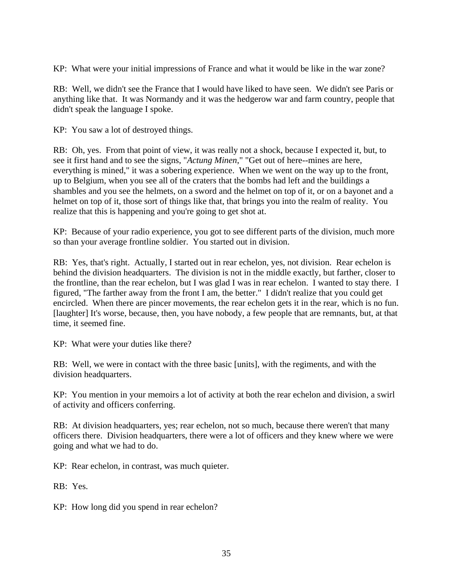KP: What were your initial impressions of France and what it would be like in the war zone?

RB: Well, we didn't see the France that I would have liked to have seen. We didn't see Paris or anything like that. It was Normandy and it was the hedgerow war and farm country, people that didn't speak the language I spoke.

KP: You saw a lot of destroyed things.

RB: Oh, yes. From that point of view, it was really not a shock, because I expected it, but, to see it first hand and to see the signs, "*Actung Minen*," "Get out of here--mines are here, everything is mined," it was a sobering experience. When we went on the way up to the front, up to Belgium, when you see all of the craters that the bombs had left and the buildings a shambles and you see the helmets, on a sword and the helmet on top of it, or on a bayonet and a helmet on top of it, those sort of things like that, that brings you into the realm of reality. You realize that this is happening and you're going to get shot at.

KP: Because of your radio experience, you got to see different parts of the division, much more so than your average frontline soldier. You started out in division.

RB: Yes, that's right. Actually, I started out in rear echelon, yes, not division. Rear echelon is behind the division headquarters. The division is not in the middle exactly, but farther, closer to the frontline, than the rear echelon, but I was glad I was in rear echelon. I wanted to stay there. I figured, "The farther away from the front I am, the better." I didn't realize that you could get encircled. When there are pincer movements, the rear echelon gets it in the rear, which is no fun. [laughter] It's worse, because, then, you have nobody, a few people that are remnants, but, at that time, it seemed fine.

KP: What were your duties like there?

RB: Well, we were in contact with the three basic [units], with the regiments, and with the division headquarters.

KP: You mention in your memoirs a lot of activity at both the rear echelon and division, a swirl of activity and officers conferring.

RB: At division headquarters, yes; rear echelon, not so much, because there weren't that many officers there. Division headquarters, there were a lot of officers and they knew where we were going and what we had to do.

KP: Rear echelon, in contrast, was much quieter.

RB: Yes.

KP: How long did you spend in rear echelon?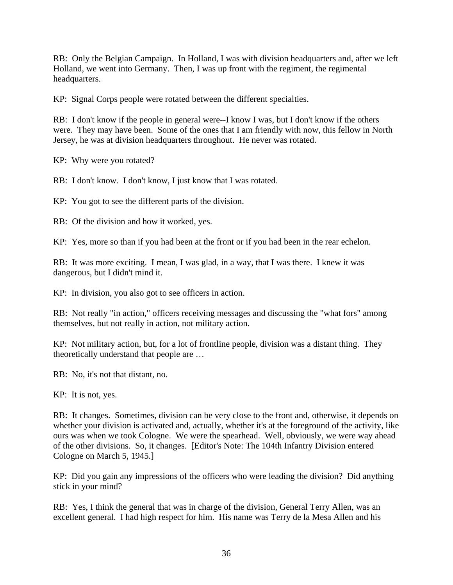RB: Only the Belgian Campaign. In Holland, I was with division headquarters and, after we left Holland, we went into Germany. Then, I was up front with the regiment, the regimental headquarters.

KP: Signal Corps people were rotated between the different specialties.

RB: I don't know if the people in general were--I know I was, but I don't know if the others were. They may have been. Some of the ones that I am friendly with now, this fellow in North Jersey, he was at division headquarters throughout. He never was rotated.

KP: Why were you rotated?

RB: I don't know. I don't know, I just know that I was rotated.

KP: You got to see the different parts of the division.

RB: Of the division and how it worked, yes.

KP: Yes, more so than if you had been at the front or if you had been in the rear echelon.

RB: It was more exciting. I mean, I was glad, in a way, that I was there. I knew it was dangerous, but I didn't mind it.

KP: In division, you also got to see officers in action.

RB: Not really "in action," officers receiving messages and discussing the "what fors" among themselves, but not really in action, not military action.

KP: Not military action, but, for a lot of frontline people, division was a distant thing. They theoretically understand that people are …

RB: No, it's not that distant, no.

KP: It is not, yes.

RB: It changes. Sometimes, division can be very close to the front and, otherwise, it depends on whether your division is activated and, actually, whether it's at the foreground of the activity, like ours was when we took Cologne. We were the spearhead. Well, obviously, we were way ahead of the other divisions. So, it changes. [Editor's Note: The 104th Infantry Division entered Cologne on March 5, 1945.]

KP: Did you gain any impressions of the officers who were leading the division? Did anything stick in your mind?

RB: Yes, I think the general that was in charge of the division, General Terry Allen, was an excellent general. I had high respect for him. His name was Terry de la Mesa Allen and his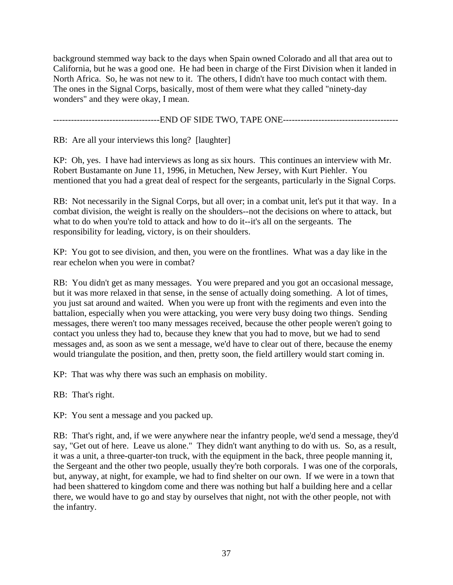background stemmed way back to the days when Spain owned Colorado and all that area out to California, but he was a good one. He had been in charge of the First Division when it landed in North Africa. So, he was not new to it. The others, I didn't have too much contact with them. The ones in the Signal Corps, basically, most of them were what they called "ninety-day wonders" and they were okay, I mean.

------------------------------------END OF SIDE TWO, TAPE ONE---------------------------------------

RB: Are all your interviews this long? [laughter]

KP: Oh, yes. I have had interviews as long as six hours. This continues an interview with Mr. Robert Bustamante on June 11, 1996, in Metuchen, New Jersey, with Kurt Piehler. You mentioned that you had a great deal of respect for the sergeants, particularly in the Signal Corps.

RB: Not necessarily in the Signal Corps, but all over; in a combat unit, let's put it that way. In a combat division, the weight is really on the shoulders--not the decisions on where to attack, but what to do when you're told to attack and how to do it--it's all on the sergeants. The responsibility for leading, victory, is on their shoulders.

KP: You got to see division, and then, you were on the frontlines. What was a day like in the rear echelon when you were in combat?

RB: You didn't get as many messages. You were prepared and you got an occasional message, but it was more relaxed in that sense, in the sense of actually doing something. A lot of times, you just sat around and waited. When you were up front with the regiments and even into the battalion, especially when you were attacking, you were very busy doing two things. Sending messages, there weren't too many messages received, because the other people weren't going to contact you unless they had to, because they knew that you had to move, but we had to send messages and, as soon as we sent a message, we'd have to clear out of there, because the enemy would triangulate the position, and then, pretty soon, the field artillery would start coming in.

KP: That was why there was such an emphasis on mobility.

RB: That's right.

KP: You sent a message and you packed up.

RB: That's right, and, if we were anywhere near the infantry people, we'd send a message, they'd say, "Get out of here. Leave us alone." They didn't want anything to do with us. So, as a result, it was a unit, a three-quarter-ton truck, with the equipment in the back, three people manning it, the Sergeant and the other two people, usually they're both corporals. I was one of the corporals, but, anyway, at night, for example, we had to find shelter on our own. If we were in a town that had been shattered to kingdom come and there was nothing but half a building here and a cellar there, we would have to go and stay by ourselves that night, not with the other people, not with the infantry.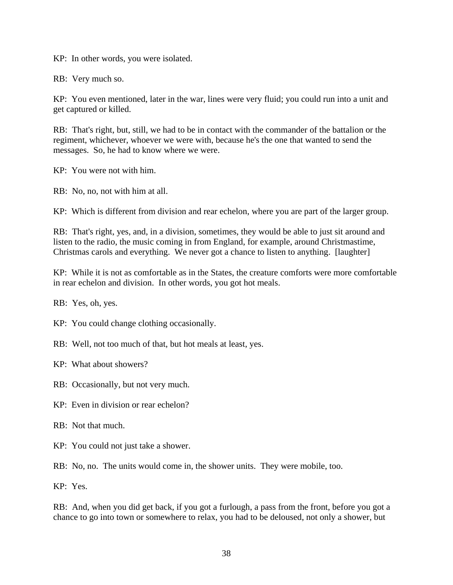KP: In other words, you were isolated.

RB: Very much so.

KP: You even mentioned, later in the war, lines were very fluid; you could run into a unit and get captured or killed.

RB: That's right, but, still, we had to be in contact with the commander of the battalion or the regiment, whichever, whoever we were with, because he's the one that wanted to send the messages. So, he had to know where we were.

KP: You were not with him.

RB: No, no, not with him at all.

KP: Which is different from division and rear echelon, where you are part of the larger group.

RB: That's right, yes, and, in a division, sometimes, they would be able to just sit around and listen to the radio, the music coming in from England, for example, around Christmastime, Christmas carols and everything. We never got a chance to listen to anything. [laughter]

KP: While it is not as comfortable as in the States, the creature comforts were more comfortable in rear echelon and division. In other words, you got hot meals.

RB: Yes, oh, yes.

KP: You could change clothing occasionally.

RB: Well, not too much of that, but hot meals at least, yes.

KP: What about showers?

RB: Occasionally, but not very much.

KP: Even in division or rear echelon?

RB: Not that much.

KP: You could not just take a shower.

RB: No, no. The units would come in, the shower units. They were mobile, too.

KP: Yes.

RB: And, when you did get back, if you got a furlough, a pass from the front, before you got a chance to go into town or somewhere to relax, you had to be deloused, not only a shower, but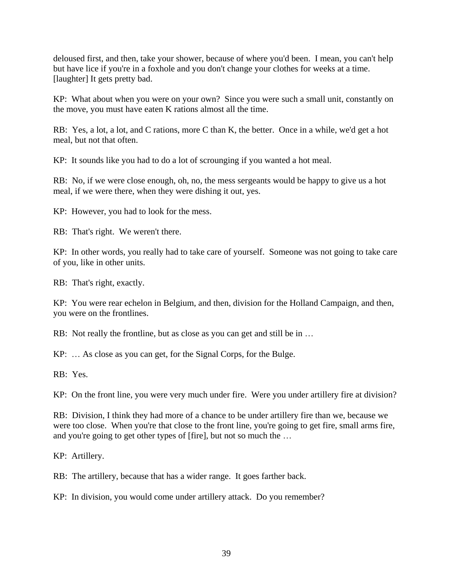deloused first, and then, take your shower, because of where you'd been. I mean, you can't help but have lice if you're in a foxhole and you don't change your clothes for weeks at a time. [laughter] It gets pretty bad.

KP: What about when you were on your own? Since you were such a small unit, constantly on the move, you must have eaten K rations almost all the time.

RB: Yes, a lot, a lot, and C rations, more C than K, the better. Once in a while, we'd get a hot meal, but not that often.

KP: It sounds like you had to do a lot of scrounging if you wanted a hot meal.

RB: No, if we were close enough, oh, no, the mess sergeants would be happy to give us a hot meal, if we were there, when they were dishing it out, yes.

KP: However, you had to look for the mess.

RB: That's right. We weren't there.

KP: In other words, you really had to take care of yourself. Someone was not going to take care of you, like in other units.

RB: That's right, exactly.

KP: You were rear echelon in Belgium, and then, division for the Holland Campaign, and then, you were on the frontlines.

RB: Not really the frontline, but as close as you can get and still be in ...

KP: … As close as you can get, for the Signal Corps, for the Bulge.

RB: Yes.

KP: On the front line, you were very much under fire. Were you under artillery fire at division?

RB: Division, I think they had more of a chance to be under artillery fire than we, because we were too close. When you're that close to the front line, you're going to get fire, small arms fire, and you're going to get other types of [fire], but not so much the …

KP: Artillery.

RB: The artillery, because that has a wider range. It goes farther back.

KP: In division, you would come under artillery attack. Do you remember?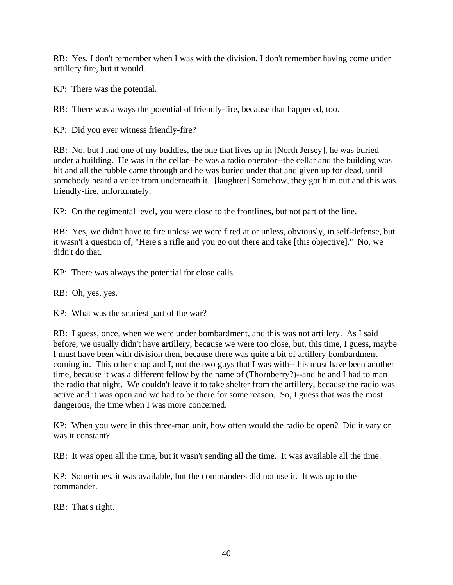RB: Yes, I don't remember when I was with the division, I don't remember having come under artillery fire, but it would.

KP: There was the potential.

RB: There was always the potential of friendly-fire, because that happened, too.

KP: Did you ever witness friendly-fire?

RB: No, but I had one of my buddies, the one that lives up in [North Jersey], he was buried under a building. He was in the cellar--he was a radio operator--the cellar and the building was hit and all the rubble came through and he was buried under that and given up for dead, until somebody heard a voice from underneath it. [laughter] Somehow, they got him out and this was friendly-fire, unfortunately.

KP: On the regimental level, you were close to the frontlines, but not part of the line.

RB: Yes, we didn't have to fire unless we were fired at or unless, obviously, in self-defense, but it wasn't a question of, "Here's a rifle and you go out there and take [this objective]." No, we didn't do that.

KP: There was always the potential for close calls.

RB: Oh, yes, yes.

KP: What was the scariest part of the war?

RB: I guess, once, when we were under bombardment, and this was not artillery. As I said before, we usually didn't have artillery, because we were too close, but, this time, I guess, maybe I must have been with division then, because there was quite a bit of artillery bombardment coming in. This other chap and I, not the two guys that I was with--this must have been another time, because it was a different fellow by the name of (Thornberry?)--and he and I had to man the radio that night. We couldn't leave it to take shelter from the artillery, because the radio was active and it was open and we had to be there for some reason. So, I guess that was the most dangerous, the time when I was more concerned.

KP: When you were in this three-man unit, how often would the radio be open? Did it vary or was it constant?

RB: It was open all the time, but it wasn't sending all the time. It was available all the time.

KP: Sometimes, it was available, but the commanders did not use it. It was up to the commander.

RB: That's right.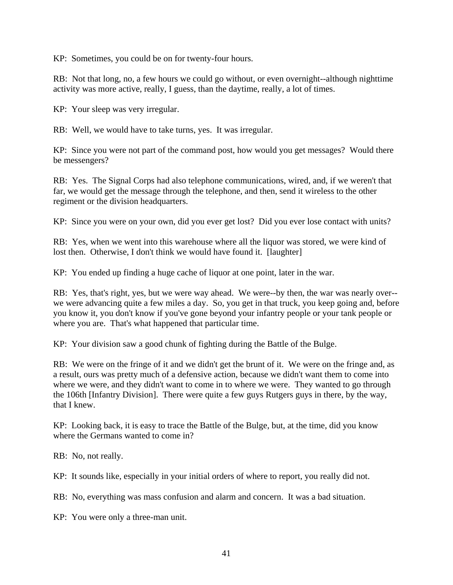KP: Sometimes, you could be on for twenty-four hours.

RB: Not that long, no, a few hours we could go without, or even overnight--although nighttime activity was more active, really, I guess, than the daytime, really, a lot of times.

KP: Your sleep was very irregular.

RB: Well, we would have to take turns, yes. It was irregular.

KP: Since you were not part of the command post, how would you get messages? Would there be messengers?

RB: Yes. The Signal Corps had also telephone communications, wired, and, if we weren't that far, we would get the message through the telephone, and then, send it wireless to the other regiment or the division headquarters.

KP: Since you were on your own, did you ever get lost? Did you ever lose contact with units?

RB: Yes, when we went into this warehouse where all the liquor was stored, we were kind of lost then. Otherwise, I don't think we would have found it. [laughter]

KP: You ended up finding a huge cache of liquor at one point, later in the war.

RB: Yes, that's right, yes, but we were way ahead. We were--by then, the war was nearly over- we were advancing quite a few miles a day. So, you get in that truck, you keep going and, before you know it, you don't know if you've gone beyond your infantry people or your tank people or where you are. That's what happened that particular time.

KP: Your division saw a good chunk of fighting during the Battle of the Bulge.

RB: We were on the fringe of it and we didn't get the brunt of it. We were on the fringe and, as a result, ours was pretty much of a defensive action, because we didn't want them to come into where we were, and they didn't want to come in to where we were. They wanted to go through the 106th [Infantry Division]. There were quite a few guys Rutgers guys in there, by the way, that I knew.

KP: Looking back, it is easy to trace the Battle of the Bulge, but, at the time, did you know where the Germans wanted to come in?

RB: No, not really.

KP: It sounds like, especially in your initial orders of where to report, you really did not.

RB: No, everything was mass confusion and alarm and concern. It was a bad situation.

KP: You were only a three-man unit.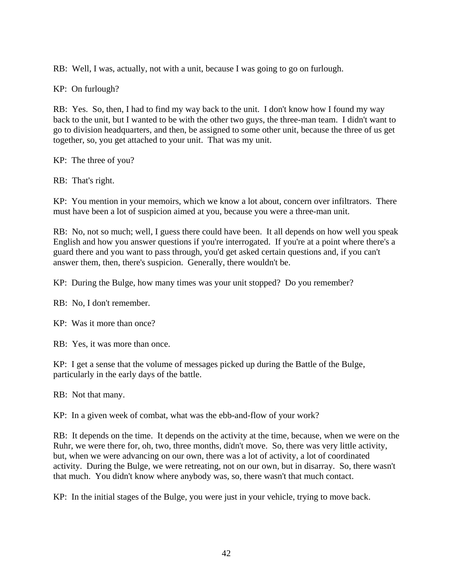RB: Well, I was, actually, not with a unit, because I was going to go on furlough.

KP: On furlough?

RB: Yes. So, then, I had to find my way back to the unit. I don't know how I found my way back to the unit, but I wanted to be with the other two guys, the three-man team. I didn't want to go to division headquarters, and then, be assigned to some other unit, because the three of us get together, so, you get attached to your unit. That was my unit.

KP: The three of you?

RB: That's right.

KP: You mention in your memoirs, which we know a lot about, concern over infiltrators. There must have been a lot of suspicion aimed at you, because you were a three-man unit.

RB: No, not so much; well, I guess there could have been. It all depends on how well you speak English and how you answer questions if you're interrogated. If you're at a point where there's a guard there and you want to pass through, you'd get asked certain questions and, if you can't answer them, then, there's suspicion. Generally, there wouldn't be.

KP: During the Bulge, how many times was your unit stopped? Do you remember?

RB: No, I don't remember.

KP: Was it more than once?

RB: Yes, it was more than once.

KP: I get a sense that the volume of messages picked up during the Battle of the Bulge, particularly in the early days of the battle.

RB: Not that many.

KP: In a given week of combat, what was the ebb-and-flow of your work?

RB: It depends on the time. It depends on the activity at the time, because, when we were on the Ruhr, we were there for, oh, two, three months, didn't move. So, there was very little activity, but, when we were advancing on our own, there was a lot of activity, a lot of coordinated activity. During the Bulge, we were retreating, not on our own, but in disarray. So, there wasn't that much. You didn't know where anybody was, so, there wasn't that much contact.

KP: In the initial stages of the Bulge, you were just in your vehicle, trying to move back.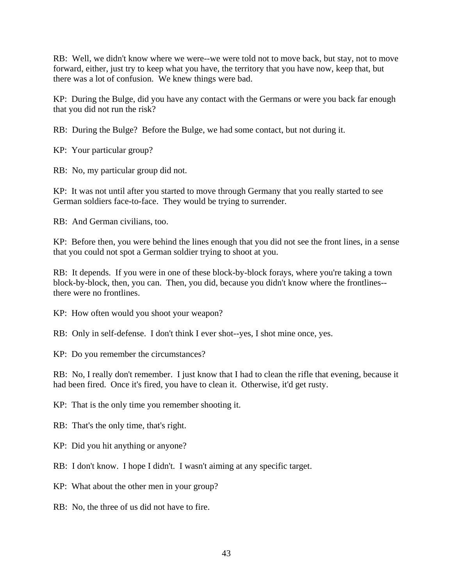RB: Well, we didn't know where we were--we were told not to move back, but stay, not to move forward, either, just try to keep what you have, the territory that you have now, keep that, but there was a lot of confusion. We knew things were bad.

KP: During the Bulge, did you have any contact with the Germans or were you back far enough that you did not run the risk?

RB: During the Bulge? Before the Bulge, we had some contact, but not during it.

KP: Your particular group?

RB: No, my particular group did not.

KP: It was not until after you started to move through Germany that you really started to see German soldiers face-to-face. They would be trying to surrender.

RB: And German civilians, too.

KP: Before then, you were behind the lines enough that you did not see the front lines, in a sense that you could not spot a German soldier trying to shoot at you.

RB: It depends. If you were in one of these block-by-block forays, where you're taking a town block-by-block, then, you can. Then, you did, because you didn't know where the frontlines- there were no frontlines.

KP: How often would you shoot your weapon?

RB: Only in self-defense. I don't think I ever shot--yes, I shot mine once, yes.

KP: Do you remember the circumstances?

RB: No, I really don't remember. I just know that I had to clean the rifle that evening, because it had been fired. Once it's fired, you have to clean it. Otherwise, it'd get rusty.

KP: That is the only time you remember shooting it.

RB: That's the only time, that's right.

KP: Did you hit anything or anyone?

RB: I don't know. I hope I didn't. I wasn't aiming at any specific target.

KP: What about the other men in your group?

RB: No, the three of us did not have to fire.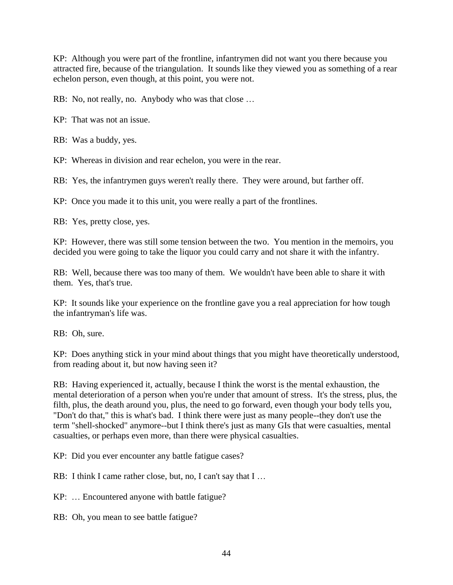KP: Although you were part of the frontline, infantrymen did not want you there because you attracted fire, because of the triangulation. It sounds like they viewed you as something of a rear echelon person, even though, at this point, you were not.

RB: No, not really, no. Anybody who was that close …

KP: That was not an issue.

RB: Was a buddy, yes.

KP: Whereas in division and rear echelon, you were in the rear.

RB: Yes, the infantrymen guys weren't really there. They were around, but farther off.

KP: Once you made it to this unit, you were really a part of the frontlines.

RB: Yes, pretty close, yes.

KP: However, there was still some tension between the two. You mention in the memoirs, you decided you were going to take the liquor you could carry and not share it with the infantry.

RB: Well, because there was too many of them. We wouldn't have been able to share it with them. Yes, that's true.

KP: It sounds like your experience on the frontline gave you a real appreciation for how tough the infantryman's life was.

RB: Oh, sure.

KP: Does anything stick in your mind about things that you might have theoretically understood, from reading about it, but now having seen it?

RB: Having experienced it, actually, because I think the worst is the mental exhaustion, the mental deterioration of a person when you're under that amount of stress. It's the stress, plus, the filth, plus, the death around you, plus, the need to go forward, even though your body tells you, "Don't do that," this is what's bad. I think there were just as many people--they don't use the term "shell-shocked" anymore--but I think there's just as many GIs that were casualties, mental casualties, or perhaps even more, than there were physical casualties.

KP: Did you ever encounter any battle fatigue cases?

RB: I think I came rather close, but, no, I can't say that I ...

KP: … Encountered anyone with battle fatigue?

RB: Oh, you mean to see battle fatigue?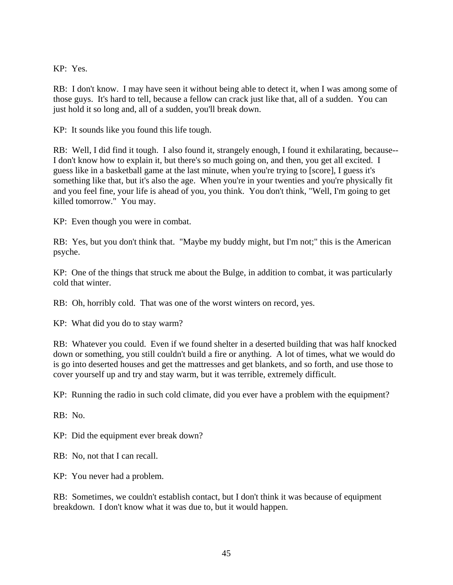KP: Yes.

RB: I don't know. I may have seen it without being able to detect it, when I was among some of those guys. It's hard to tell, because a fellow can crack just like that, all of a sudden. You can just hold it so long and, all of a sudden, you'll break down.

KP: It sounds like you found this life tough.

RB: Well, I did find it tough. I also found it, strangely enough, I found it exhilarating, because-- I don't know how to explain it, but there's so much going on, and then, you get all excited. I guess like in a basketball game at the last minute, when you're trying to [score], I guess it's something like that, but it's also the age. When you're in your twenties and you're physically fit and you feel fine, your life is ahead of you, you think. You don't think, "Well, I'm going to get killed tomorrow." You may.

KP: Even though you were in combat.

RB: Yes, but you don't think that. "Maybe my buddy might, but I'm not;" this is the American psyche.

KP: One of the things that struck me about the Bulge, in addition to combat, it was particularly cold that winter.

RB: Oh, horribly cold. That was one of the worst winters on record, yes.

KP: What did you do to stay warm?

RB: Whatever you could. Even if we found shelter in a deserted building that was half knocked down or something, you still couldn't build a fire or anything. A lot of times, what we would do is go into deserted houses and get the mattresses and get blankets, and so forth, and use those to cover yourself up and try and stay warm, but it was terrible, extremely difficult.

KP: Running the radio in such cold climate, did you ever have a problem with the equipment?

RB: No.

KP: Did the equipment ever break down?

RB: No, not that I can recall.

KP: You never had a problem.

RB: Sometimes, we couldn't establish contact, but I don't think it was because of equipment breakdown. I don't know what it was due to, but it would happen.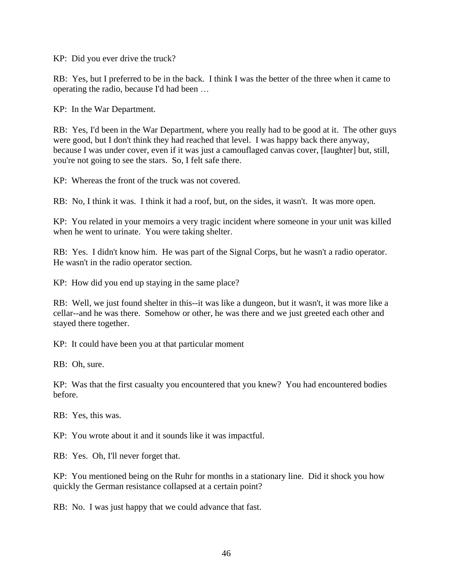KP: Did you ever drive the truck?

RB: Yes, but I preferred to be in the back. I think I was the better of the three when it came to operating the radio, because I'd had been …

KP: In the War Department.

RB: Yes, I'd been in the War Department, where you really had to be good at it. The other guys were good, but I don't think they had reached that level. I was happy back there anyway, because I was under cover, even if it was just a camouflaged canvas cover, [laughter] but, still, you're not going to see the stars. So, I felt safe there.

KP: Whereas the front of the truck was not covered.

RB: No, I think it was. I think it had a roof, but, on the sides, it wasn't. It was more open.

KP: You related in your memoirs a very tragic incident where someone in your unit was killed when he went to urinate. You were taking shelter.

RB: Yes. I didn't know him. He was part of the Signal Corps, but he wasn't a radio operator. He wasn't in the radio operator section.

KP: How did you end up staying in the same place?

RB: Well, we just found shelter in this--it was like a dungeon, but it wasn't, it was more like a cellar--and he was there. Somehow or other, he was there and we just greeted each other and stayed there together.

KP: It could have been you at that particular moment

RB: Oh, sure.

KP: Was that the first casualty you encountered that you knew? You had encountered bodies before.

RB: Yes, this was.

KP: You wrote about it and it sounds like it was impactful.

RB: Yes. Oh, I'll never forget that.

KP: You mentioned being on the Ruhr for months in a stationary line. Did it shock you how quickly the German resistance collapsed at a certain point?

RB: No. I was just happy that we could advance that fast.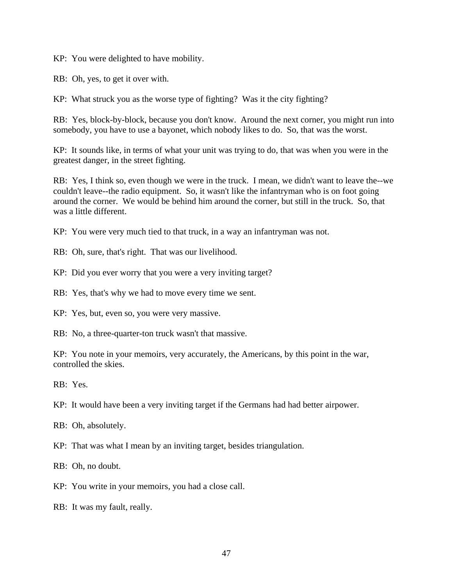KP: You were delighted to have mobility.

RB: Oh, yes, to get it over with.

KP: What struck you as the worse type of fighting? Was it the city fighting?

RB: Yes, block-by-block, because you don't know. Around the next corner, you might run into somebody, you have to use a bayonet, which nobody likes to do. So, that was the worst.

KP: It sounds like, in terms of what your unit was trying to do, that was when you were in the greatest danger, in the street fighting.

RB: Yes, I think so, even though we were in the truck. I mean, we didn't want to leave the--we couldn't leave--the radio equipment. So, it wasn't like the infantryman who is on foot going around the corner. We would be behind him around the corner, but still in the truck. So, that was a little different.

KP: You were very much tied to that truck, in a way an infantryman was not.

RB: Oh, sure, that's right. That was our livelihood.

KP: Did you ever worry that you were a very inviting target?

RB: Yes, that's why we had to move every time we sent.

KP: Yes, but, even so, you were very massive.

RB: No, a three-quarter-ton truck wasn't that massive.

KP: You note in your memoirs, very accurately, the Americans, by this point in the war, controlled the skies.

RB: Yes.

KP: It would have been a very inviting target if the Germans had had better airpower.

RB: Oh, absolutely.

KP: That was what I mean by an inviting target, besides triangulation.

RB: Oh, no doubt.

KP: You write in your memoirs, you had a close call.

RB: It was my fault, really.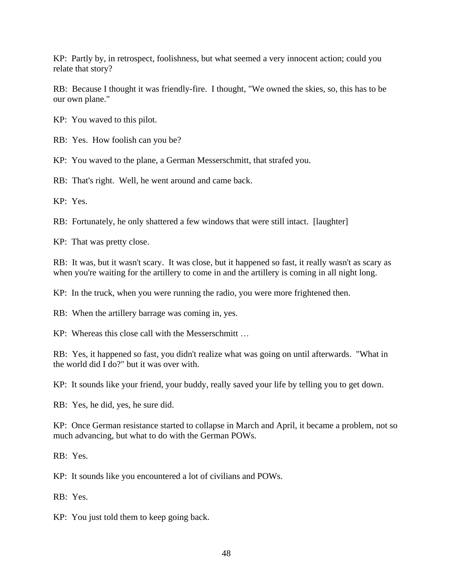KP: Partly by, in retrospect, foolishness, but what seemed a very innocent action; could you relate that story?

RB: Because I thought it was friendly-fire. I thought, "We owned the skies, so, this has to be our own plane."

KP: You waved to this pilot.

RB: Yes. How foolish can you be?

KP: You waved to the plane, a German Messerschmitt, that strafed you.

RB: That's right. Well, he went around and came back.

KP: Yes.

RB: Fortunately, he only shattered a few windows that were still intact. [laughter]

KP: That was pretty close.

RB: It was, but it wasn't scary. It was close, but it happened so fast, it really wasn't as scary as when you're waiting for the artillery to come in and the artillery is coming in all night long.

KP: In the truck, when you were running the radio, you were more frightened then.

RB: When the artillery barrage was coming in, yes.

KP: Whereas this close call with the Messerschmitt …

RB: Yes, it happened so fast, you didn't realize what was going on until afterwards. "What in the world did I do?" but it was over with.

KP: It sounds like your friend, your buddy, really saved your life by telling you to get down.

RB: Yes, he did, yes, he sure did.

KP: Once German resistance started to collapse in March and April, it became a problem, not so much advancing, but what to do with the German POWs.

RB: Yes.

KP: It sounds like you encountered a lot of civilians and POWs.

RB: Yes.

KP: You just told them to keep going back.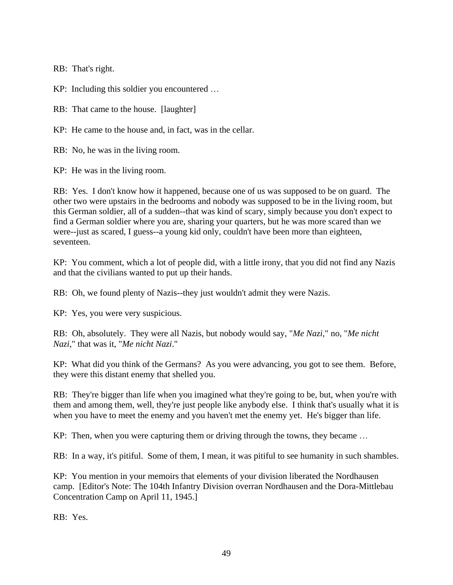RB: That's right.

KP: Including this soldier you encountered …

RB: That came to the house. [laughter]

KP: He came to the house and, in fact, was in the cellar.

RB: No, he was in the living room.

KP: He was in the living room.

RB: Yes. I don't know how it happened, because one of us was supposed to be on guard. The other two were upstairs in the bedrooms and nobody was supposed to be in the living room, but this German soldier, all of a sudden--that was kind of scary, simply because you don't expect to find a German soldier where you are, sharing your quarters, but he was more scared than we were--just as scared, I guess--a young kid only, couldn't have been more than eighteen, seventeen.

KP: You comment, which a lot of people did, with a little irony, that you did not find any Nazis and that the civilians wanted to put up their hands.

RB: Oh, we found plenty of Nazis--they just wouldn't admit they were Nazis.

KP: Yes, you were very suspicious.

RB: Oh, absolutely. They were all Nazis, but nobody would say, "*Me Nazi*," no, "*Me nicht Nazi*," that was it, "*Me nicht Nazi*."

KP: What did you think of the Germans? As you were advancing, you got to see them. Before, they were this distant enemy that shelled you.

RB: They're bigger than life when you imagined what they're going to be, but, when you're with them and among them, well, they're just people like anybody else. I think that's usually what it is when you have to meet the enemy and you haven't met the enemy yet. He's bigger than life.

KP: Then, when you were capturing them or driving through the towns, they became …

RB: In a way, it's pitiful. Some of them, I mean, it was pitiful to see humanity in such shambles.

KP: You mention in your memoirs that elements of your division liberated the Nordhausen camp. [Editor's Note: The 104th Infantry Division overran Nordhausen and the Dora-Mittlebau Concentration Camp on April 11, 1945.]

RB: Yes.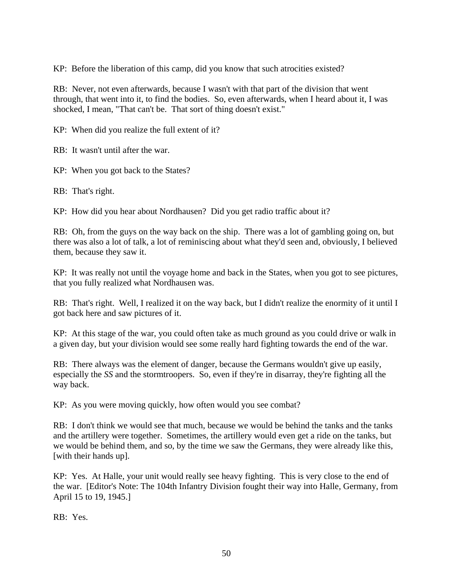KP: Before the liberation of this camp, did you know that such atrocities existed?

RB: Never, not even afterwards, because I wasn't with that part of the division that went through, that went into it, to find the bodies. So, even afterwards, when I heard about it, I was shocked, I mean, "That can't be. That sort of thing doesn't exist."

KP: When did you realize the full extent of it?

RB: It wasn't until after the war.

KP: When you got back to the States?

RB: That's right.

KP: How did you hear about Nordhausen? Did you get radio traffic about it?

RB: Oh, from the guys on the way back on the ship. There was a lot of gambling going on, but there was also a lot of talk, a lot of reminiscing about what they'd seen and, obviously, I believed them, because they saw it.

KP: It was really not until the voyage home and back in the States, when you got to see pictures, that you fully realized what Nordhausen was.

RB: That's right. Well, I realized it on the way back, but I didn't realize the enormity of it until I got back here and saw pictures of it.

KP: At this stage of the war, you could often take as much ground as you could drive or walk in a given day, but your division would see some really hard fighting towards the end of the war.

RB: There always was the element of danger, because the Germans wouldn't give up easily, especially the *SS* and the stormtroopers. So, even if they're in disarray, they're fighting all the way back.

KP: As you were moving quickly, how often would you see combat?

RB: I don't think we would see that much, because we would be behind the tanks and the tanks and the artillery were together. Sometimes, the artillery would even get a ride on the tanks, but we would be behind them, and so, by the time we saw the Germans, they were already like this, [with their hands up].

KP: Yes. At Halle, your unit would really see heavy fighting. This is very close to the end of the war. [Editor's Note: The 104th Infantry Division fought their way into Halle, Germany, from April 15 to 19, 1945.]

RB: Yes.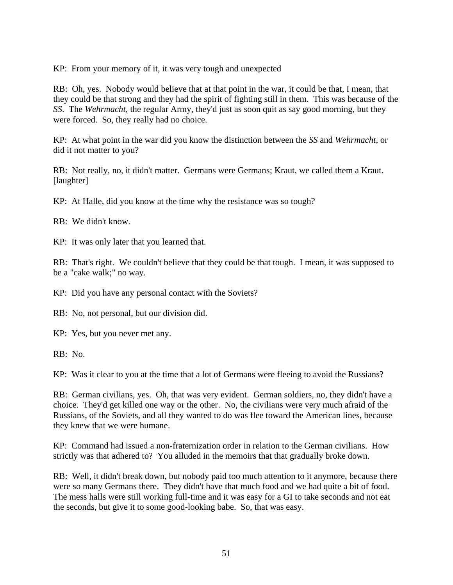KP: From your memory of it, it was very tough and unexpected

RB: Oh, yes. Nobody would believe that at that point in the war, it could be that, I mean, that they could be that strong and they had the spirit of fighting still in them. This was because of the *SS*. The *Wehrmacht*, the regular Army, they'd just as soon quit as say good morning, but they were forced. So, they really had no choice.

KP: At what point in the war did you know the distinction between the *SS* and *Wehrmacht*, or did it not matter to you?

RB: Not really, no, it didn't matter. Germans were Germans; Kraut, we called them a Kraut. [laughter]

KP: At Halle, did you know at the time why the resistance was so tough?

RB: We didn't know.

KP: It was only later that you learned that.

RB: That's right. We couldn't believe that they could be that tough. I mean, it was supposed to be a "cake walk;" no way.

KP: Did you have any personal contact with the Soviets?

RB: No, not personal, but our division did.

KP: Yes, but you never met any.

RB: No.

KP: Was it clear to you at the time that a lot of Germans were fleeing to avoid the Russians?

RB: German civilians, yes. Oh, that was very evident. German soldiers, no, they didn't have a choice. They'd get killed one way or the other. No, the civilians were very much afraid of the Russians, of the Soviets, and all they wanted to do was flee toward the American lines, because they knew that we were humane.

KP: Command had issued a non-fraternization order in relation to the German civilians. How strictly was that adhered to? You alluded in the memoirs that that gradually broke down.

RB: Well, it didn't break down, but nobody paid too much attention to it anymore, because there were so many Germans there. They didn't have that much food and we had quite a bit of food. The mess halls were still working full-time and it was easy for a GI to take seconds and not eat the seconds, but give it to some good-looking babe. So, that was easy.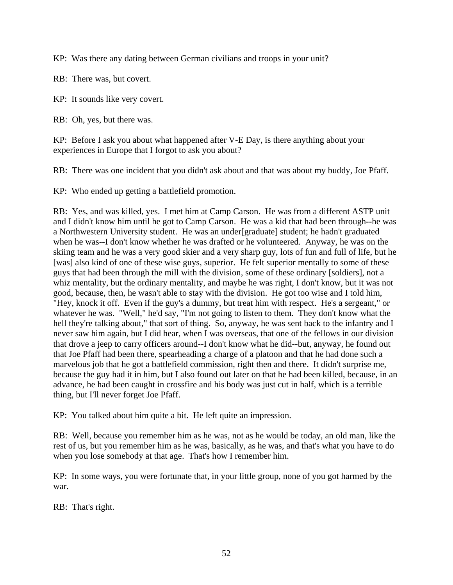KP: Was there any dating between German civilians and troops in your unit?

RB: There was, but covert.

KP: It sounds like very covert.

RB: Oh, yes, but there was.

KP: Before I ask you about what happened after V-E Day, is there anything about your experiences in Europe that I forgot to ask you about?

RB: There was one incident that you didn't ask about and that was about my buddy, Joe Pfaff.

KP: Who ended up getting a battlefield promotion.

RB: Yes, and was killed, yes. I met him at Camp Carson. He was from a different ASTP unit and I didn't know him until he got to Camp Carson. He was a kid that had been through--he was a Northwestern University student. He was an under[graduate] student; he hadn't graduated when he was--I don't know whether he was drafted or he volunteered. Anyway, he was on the skiing team and he was a very good skier and a very sharp guy, lots of fun and full of life, but he [was] also kind of one of these wise guys, superior. He felt superior mentally to some of these guys that had been through the mill with the division, some of these ordinary [soldiers], not a whiz mentality, but the ordinary mentality, and maybe he was right, I don't know, but it was not good, because, then, he wasn't able to stay with the division. He got too wise and I told him, "Hey, knock it off. Even if the guy's a dummy, but treat him with respect. He's a sergeant," or whatever he was. "Well," he'd say, "I'm not going to listen to them. They don't know what the hell they're talking about," that sort of thing. So, anyway, he was sent back to the infantry and I never saw him again, but I did hear, when I was overseas, that one of the fellows in our division that drove a jeep to carry officers around--I don't know what he did--but, anyway, he found out that Joe Pfaff had been there, spearheading a charge of a platoon and that he had done such a marvelous job that he got a battlefield commission, right then and there. It didn't surprise me, because the guy had it in him, but I also found out later on that he had been killed, because, in an advance, he had been caught in crossfire and his body was just cut in half, which is a terrible thing, but I'll never forget Joe Pfaff.

KP: You talked about him quite a bit. He left quite an impression.

RB: Well, because you remember him as he was, not as he would be today, an old man, like the rest of us, but you remember him as he was, basically, as he was, and that's what you have to do when you lose somebody at that age. That's how I remember him.

KP: In some ways, you were fortunate that, in your little group, none of you got harmed by the war.

RB: That's right.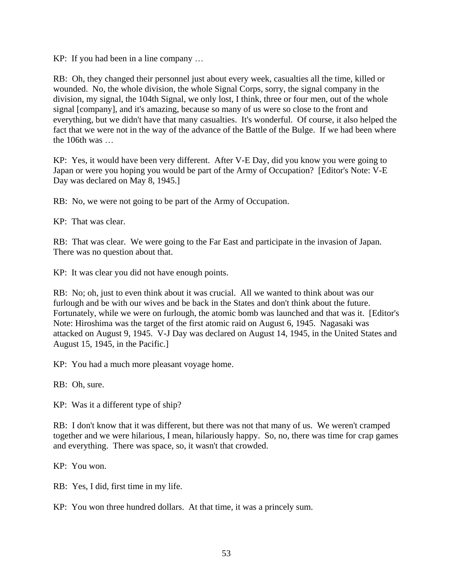KP: If you had been in a line company …

RB: Oh, they changed their personnel just about every week, casualties all the time, killed or wounded. No, the whole division, the whole Signal Corps, sorry, the signal company in the division, my signal, the 104th Signal, we only lost, I think, three or four men, out of the whole signal [company], and it's amazing, because so many of us were so close to the front and everything, but we didn't have that many casualties. It's wonderful. Of course, it also helped the fact that we were not in the way of the advance of the Battle of the Bulge. If we had been where the 106th was

KP: Yes, it would have been very different. After V-E Day, did you know you were going to Japan or were you hoping you would be part of the Army of Occupation? [Editor's Note: V-E Day was declared on May 8, 1945.]

RB: No, we were not going to be part of the Army of Occupation.

KP: That was clear.

RB: That was clear. We were going to the Far East and participate in the invasion of Japan. There was no question about that.

KP: It was clear you did not have enough points.

RB: No; oh, just to even think about it was crucial. All we wanted to think about was our furlough and be with our wives and be back in the States and don't think about the future. Fortunately, while we were on furlough, the atomic bomb was launched and that was it. [Editor's Note: Hiroshima was the target of the first atomic raid on August 6, 1945. Nagasaki was attacked on August 9, 1945. V-J Day was declared on August 14, 1945, in the United States and August 15, 1945, in the Pacific.]

KP: You had a much more pleasant voyage home.

RB: Oh, sure.

KP: Was it a different type of ship?

RB: I don't know that it was different, but there was not that many of us. We weren't cramped together and we were hilarious, I mean, hilariously happy. So, no, there was time for crap games and everything. There was space, so, it wasn't that crowded.

KP: You won.

RB: Yes, I did, first time in my life.

KP: You won three hundred dollars. At that time, it was a princely sum.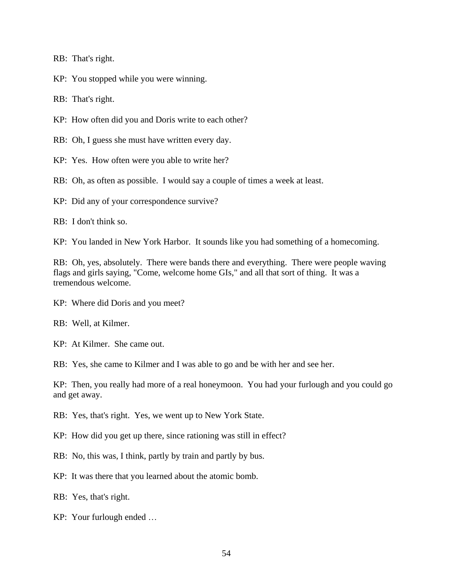RB: That's right.

KP: You stopped while you were winning.

RB: That's right.

KP: How often did you and Doris write to each other?

RB: Oh, I guess she must have written every day.

KP: Yes. How often were you able to write her?

RB: Oh, as often as possible. I would say a couple of times a week at least.

KP: Did any of your correspondence survive?

RB: I don't think so.

KP: You landed in New York Harbor. It sounds like you had something of a homecoming.

RB: Oh, yes, absolutely. There were bands there and everything. There were people waving flags and girls saying, "Come, welcome home GIs," and all that sort of thing. It was a tremendous welcome.

KP: Where did Doris and you meet?

RB: Well, at Kilmer.

KP: At Kilmer. She came out.

RB: Yes, she came to Kilmer and I was able to go and be with her and see her.

KP: Then, you really had more of a real honeymoon. You had your furlough and you could go and get away.

RB: Yes, that's right. Yes, we went up to New York State.

KP: How did you get up there, since rationing was still in effect?

- RB: No, this was, I think, partly by train and partly by bus.
- KP: It was there that you learned about the atomic bomb.
- RB: Yes, that's right.
- KP: Your furlough ended …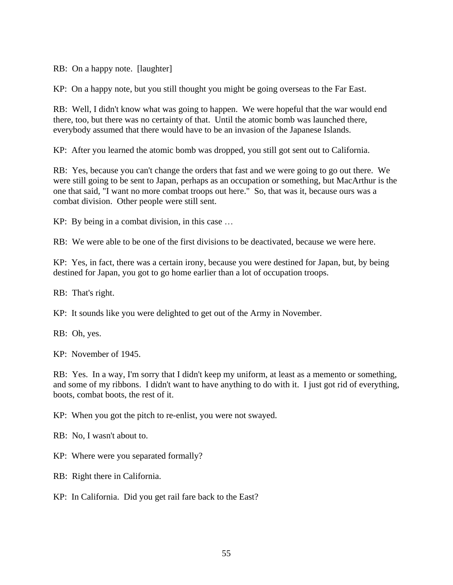RB: On a happy note. [laughter]

KP: On a happy note, but you still thought you might be going overseas to the Far East.

RB: Well, I didn't know what was going to happen. We were hopeful that the war would end there, too, but there was no certainty of that. Until the atomic bomb was launched there, everybody assumed that there would have to be an invasion of the Japanese Islands.

KP: After you learned the atomic bomb was dropped, you still got sent out to California.

RB: Yes, because you can't change the orders that fast and we were going to go out there. We were still going to be sent to Japan, perhaps as an occupation or something, but MacArthur is the one that said, "I want no more combat troops out here." So, that was it, because ours was a combat division. Other people were still sent.

KP: By being in a combat division, in this case …

RB: We were able to be one of the first divisions to be deactivated, because we were here.

KP: Yes, in fact, there was a certain irony, because you were destined for Japan, but, by being destined for Japan, you got to go home earlier than a lot of occupation troops.

RB: That's right.

KP: It sounds like you were delighted to get out of the Army in November.

RB: Oh, yes.

KP: November of 1945.

RB: Yes. In a way, I'm sorry that I didn't keep my uniform, at least as a memento or something, and some of my ribbons. I didn't want to have anything to do with it. I just got rid of everything, boots, combat boots, the rest of it.

KP: When you got the pitch to re-enlist, you were not swayed.

RB: No, I wasn't about to.

KP: Where were you separated formally?

RB: Right there in California.

KP: In California. Did you get rail fare back to the East?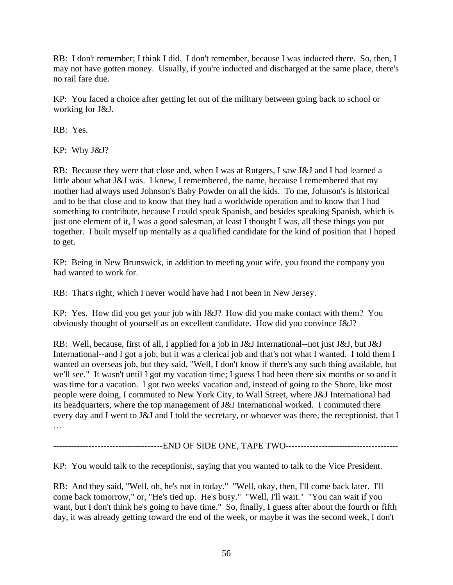RB: I don't remember; I think I did. I don't remember, because I was inducted there. So, then, I may not have gotten money. Usually, if you're inducted and discharged at the same place, there's no rail fare due.

KP: You faced a choice after getting let out of the military between going back to school or working for J&J.

RB: Yes.

KP: Why J&J?

RB: Because they were that close and, when I was at Rutgers, I saw J&J and I had learned a little about what J&J was. I knew, I remembered, the name, because I remembered that my mother had always used Johnson's Baby Powder on all the kids. To me, Johnson's is historical and to be that close and to know that they had a worldwide operation and to know that I had something to contribute, because I could speak Spanish, and besides speaking Spanish, which is just one element of it, I was a good salesman, at least I thought I was, all these things you put together. I built myself up mentally as a qualified candidate for the kind of position that I hoped to get.

KP: Being in New Brunswick, in addition to meeting your wife, you found the company you had wanted to work for.

RB: That's right, which I never would have had I not been in New Jersey.

KP: Yes. How did you get your job with J&J? How did you make contact with them? You obviously thought of yourself as an excellent candidate. How did you convince J&J?

RB: Well, because, first of all, I applied for a job in J&J International--not just J&J, but J&J International--and I got a job, but it was a clerical job and that's not what I wanted. I told them I wanted an overseas job, but they said, "Well, I don't know if there's any such thing available, but we'll see." It wasn't until I got my vacation time; I guess I had been there six months or so and it was time for a vacation. I got two weeks' vacation and, instead of going to the Shore, like most people were doing, I commuted to New York City, to Wall Street, where J&J International had its headquarters, where the top management of J&J International worked. I commuted there every day and I went to J&J and I told the secretary, or whoever was there, the receptionist, that I …

-------------------------------------END OF SIDE ONE, TAPE TWO--------------------------------------

KP: You would talk to the receptionist, saying that you wanted to talk to the Vice President.

RB: And they said, "Well, oh, he's not in today." "Well, okay, then, I'll come back later. I'll come back tomorrow," or, "He's tied up. He's busy." "Well, I'll wait." "You can wait if you want, but I don't think he's going to have time." So, finally, I guess after about the fourth or fifth day, it was already getting toward the end of the week, or maybe it was the second week, I don't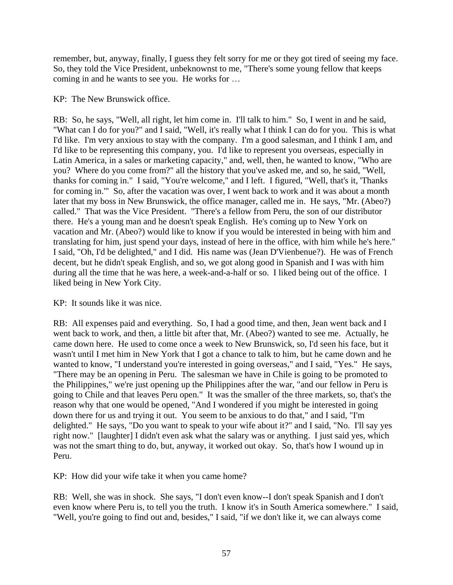remember, but, anyway, finally, I guess they felt sorry for me or they got tired of seeing my face. So, they told the Vice President, unbeknownst to me, "There's some young fellow that keeps coming in and he wants to see you. He works for …

## KP: The New Brunswick office.

RB: So, he says, "Well, all right, let him come in. I'll talk to him." So, I went in and he said, "What can I do for you?" and I said, "Well, it's really what I think I can do for you. This is what I'd like. I'm very anxious to stay with the company. I'm a good salesman, and I think I am, and I'd like to be representing this company, you. I'd like to represent you overseas, especially in Latin America, in a sales or marketing capacity," and, well, then, he wanted to know, "Who are you? Where do you come from?" all the history that you've asked me, and so, he said, "Well, thanks for coming in." I said, "You're welcome," and I left. I figured, "Well, that's it, 'Thanks for coming in.'" So, after the vacation was over, I went back to work and it was about a month later that my boss in New Brunswick, the office manager, called me in. He says, "Mr. (Abeo?) called." That was the Vice President. "There's a fellow from Peru, the son of our distributor there. He's a young man and he doesn't speak English. He's coming up to New York on vacation and Mr. (Abeo?) would like to know if you would be interested in being with him and translating for him, just spend your days, instead of here in the office, with him while he's here." I said, "Oh, I'd be delighted," and I did. His name was (Jean D'Vienbenue?). He was of French decent, but he didn't speak English, and so, we got along good in Spanish and I was with him during all the time that he was here, a week-and-a-half or so. I liked being out of the office. I liked being in New York City.

## KP: It sounds like it was nice.

RB: All expenses paid and everything. So, I had a good time, and then, Jean went back and I went back to work, and then, a little bit after that, Mr. (Abeo?) wanted to see me. Actually, he came down here. He used to come once a week to New Brunswick, so, I'd seen his face, but it wasn't until I met him in New York that I got a chance to talk to him, but he came down and he wanted to know, "I understand you're interested in going overseas," and I said, "Yes." He says, "There may be an opening in Peru. The salesman we have in Chile is going to be promoted to the Philippines," we're just opening up the Philippines after the war, "and our fellow in Peru is going to Chile and that leaves Peru open." It was the smaller of the three markets, so, that's the reason why that one would be opened, "And I wondered if you might be interested in going down there for us and trying it out. You seem to be anxious to do that," and I said, "I'm delighted." He says, "Do you want to speak to your wife about it?" and I said, "No. I'll say yes right now." [laughter] I didn't even ask what the salary was or anything. I just said yes, which was not the smart thing to do, but, anyway, it worked out okay. So, that's how I wound up in Peru.

KP: How did your wife take it when you came home?

RB: Well, she was in shock. She says, "I don't even know--I don't speak Spanish and I don't even know where Peru is, to tell you the truth. I know it's in South America somewhere." I said, "Well, you're going to find out and, besides," I said, "if we don't like it, we can always come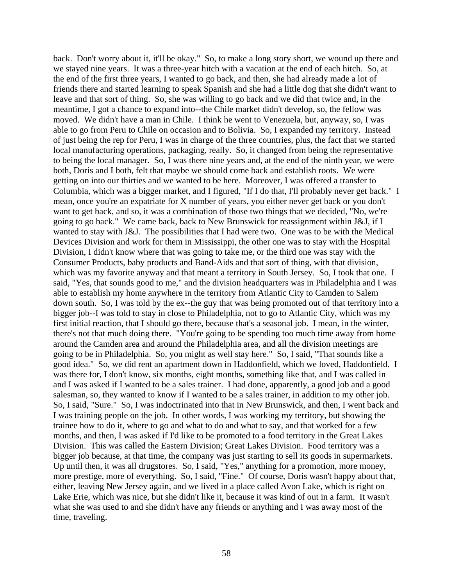back. Don't worry about it, it'll be okay." So, to make a long story short, we wound up there and we stayed nine years. It was a three-year hitch with a vacation at the end of each hitch. So, at the end of the first three years, I wanted to go back, and then, she had already made a lot of friends there and started learning to speak Spanish and she had a little dog that she didn't want to leave and that sort of thing. So, she was willing to go back and we did that twice and, in the meantime, I got a chance to expand into--the Chile market didn't develop, so, the fellow was moved. We didn't have a man in Chile. I think he went to Venezuela, but, anyway, so, I was able to go from Peru to Chile on occasion and to Bolivia. So, I expanded my territory. Instead of just being the rep for Peru, I was in charge of the three countries, plus, the fact that we started local manufacturing operations, packaging, really. So, it changed from being the representative to being the local manager. So, I was there nine years and, at the end of the ninth year, we were both, Doris and I both, felt that maybe we should come back and establish roots. We were getting on into our thirties and we wanted to be here. Moreover, I was offered a transfer to Columbia, which was a bigger market, and I figured, "If I do that, I'll probably never get back." I mean, once you're an expatriate for X number of years, you either never get back or you don't want to get back, and so, it was a combination of those two things that we decided, "No, we're going to go back." We came back, back to New Brunswick for reassignment within J&J, if I wanted to stay with J&J. The possibilities that I had were two. One was to be with the Medical Devices Division and work for them in Mississippi, the other one was to stay with the Hospital Division, I didn't know where that was going to take me, or the third one was stay with the Consumer Products, baby products and Band-Aids and that sort of thing, with that division, which was my favorite anyway and that meant a territory in South Jersey. So, I took that one. I said, "Yes, that sounds good to me," and the division headquarters was in Philadelphia and I was able to establish my home anywhere in the territory from Atlantic City to Camden to Salem down south. So, I was told by the ex--the guy that was being promoted out of that territory into a bigger job--I was told to stay in close to Philadelphia, not to go to Atlantic City, which was my first initial reaction, that I should go there, because that's a seasonal job. I mean, in the winter, there's not that much doing there. "You're going to be spending too much time away from home around the Camden area and around the Philadelphia area, and all the division meetings are going to be in Philadelphia. So, you might as well stay here." So, I said, "That sounds like a good idea." So, we did rent an apartment down in Haddonfield, which we loved, Haddonfield. I was there for, I don't know, six months, eight months, something like that, and I was called in and I was asked if I wanted to be a sales trainer. I had done, apparently, a good job and a good salesman, so, they wanted to know if I wanted to be a sales trainer, in addition to my other job. So, I said, "Sure." So, I was indoctrinated into that in New Brunswick, and then, I went back and I was training people on the job. In other words, I was working my territory, but showing the trainee how to do it, where to go and what to do and what to say, and that worked for a few months, and then, I was asked if I'd like to be promoted to a food territory in the Great Lakes Division. This was called the Eastern Division; Great Lakes Division. Food territory was a bigger job because, at that time, the company was just starting to sell its goods in supermarkets. Up until then, it was all drugstores. So, I said, "Yes," anything for a promotion, more money, more prestige, more of everything. So, I said, "Fine." Of course, Doris wasn't happy about that, either, leaving New Jersey again, and we lived in a place called Avon Lake, which is right on Lake Erie, which was nice, but she didn't like it, because it was kind of out in a farm. It wasn't what she was used to and she didn't have any friends or anything and I was away most of the time, traveling.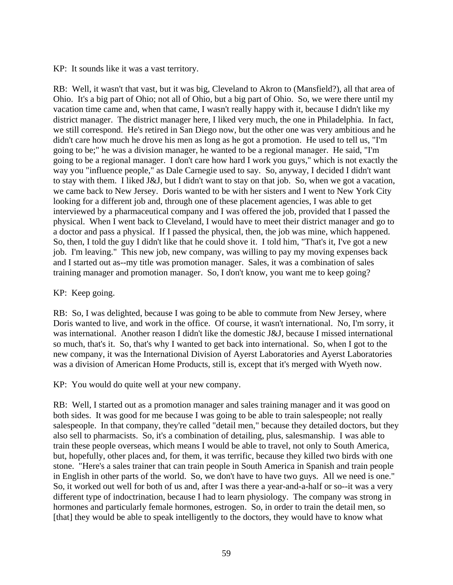KP: It sounds like it was a vast territory.

RB: Well, it wasn't that vast, but it was big, Cleveland to Akron to (Mansfield?), all that area of Ohio. It's a big part of Ohio; not all of Ohio, but a big part of Ohio. So, we were there until my vacation time came and, when that came, I wasn't really happy with it, because I didn't like my district manager. The district manager here, I liked very much, the one in Philadelphia. In fact, we still correspond. He's retired in San Diego now, but the other one was very ambitious and he didn't care how much he drove his men as long as he got a promotion. He used to tell us, "I'm going to be;" he was a division manager, he wanted to be a regional manager. He said, "I'm going to be a regional manager. I don't care how hard I work you guys," which is not exactly the way you "influence people," as Dale Carnegie used to say. So, anyway, I decided I didn't want to stay with them. I liked J&J, but I didn't want to stay on that job. So, when we got a vacation, we came back to New Jersey. Doris wanted to be with her sisters and I went to New York City looking for a different job and, through one of these placement agencies, I was able to get interviewed by a pharmaceutical company and I was offered the job, provided that I passed the physical. When I went back to Cleveland, I would have to meet their district manager and go to a doctor and pass a physical. If I passed the physical, then, the job was mine, which happened. So, then, I told the guy I didn't like that he could shove it. I told him, "That's it, I've got a new job. I'm leaving." This new job, new company, was willing to pay my moving expenses back and I started out as--my title was promotion manager. Sales, it was a combination of sales training manager and promotion manager. So, I don't know, you want me to keep going?

## KP: Keep going.

RB: So, I was delighted, because I was going to be able to commute from New Jersey, where Doris wanted to live, and work in the office. Of course, it wasn't international. No, I'm sorry, it was international. Another reason I didn't like the domestic J&J, because I missed international so much, that's it. So, that's why I wanted to get back into international. So, when I got to the new company, it was the International Division of Ayerst Laboratories and Ayerst Laboratories was a division of American Home Products, still is, except that it's merged with Wyeth now.

KP: You would do quite well at your new company.

RB: Well, I started out as a promotion manager and sales training manager and it was good on both sides. It was good for me because I was going to be able to train salespeople; not really salespeople. In that company, they're called "detail men," because they detailed doctors, but they also sell to pharmacists. So, it's a combination of detailing, plus, salesmanship. I was able to train these people overseas, which means I would be able to travel, not only to South America, but, hopefully, other places and, for them, it was terrific, because they killed two birds with one stone. "Here's a sales trainer that can train people in South America in Spanish and train people in English in other parts of the world. So, we don't have to have two guys. All we need is one." So, it worked out well for both of us and, after I was there a year-and-a-half or so--it was a very different type of indoctrination, because I had to learn physiology. The company was strong in hormones and particularly female hormones, estrogen. So, in order to train the detail men, so [that] they would be able to speak intelligently to the doctors, they would have to know what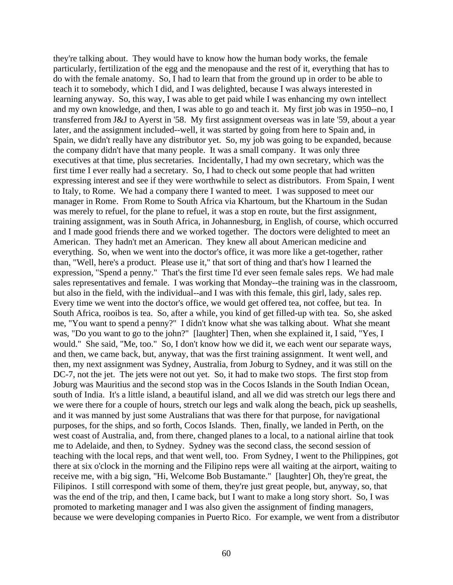they're talking about. They would have to know how the human body works, the female particularly, fertilization of the egg and the menopause and the rest of it, everything that has to do with the female anatomy. So, I had to learn that from the ground up in order to be able to teach it to somebody, which I did, and I was delighted, because I was always interested in learning anyway. So, this way, I was able to get paid while I was enhancing my own intellect and my own knowledge, and then, I was able to go and teach it. My first job was in 1950--no, I transferred from J&J to Ayerst in '58. My first assignment overseas was in late '59, about a year later, and the assignment included--well, it was started by going from here to Spain and, in Spain, we didn't really have any distributor yet. So, my job was going to be expanded, because the company didn't have that many people. It was a small company. It was only three executives at that time, plus secretaries. Incidentally, I had my own secretary, which was the first time I ever really had a secretary. So, I had to check out some people that had written expressing interest and see if they were worthwhile to select as distributors. From Spain, I went to Italy, to Rome. We had a company there I wanted to meet. I was supposed to meet our manager in Rome. From Rome to South Africa via Khartoum, but the Khartoum in the Sudan was merely to refuel, for the plane to refuel, it was a stop en route, but the first assignment, training assignment, was in South Africa, in Johannesburg, in English, of course, which occurred and I made good friends there and we worked together. The doctors were delighted to meet an American. They hadn't met an American. They knew all about American medicine and everything. So, when we went into the doctor's office, it was more like a get-together, rather than, "Well, here's a product. Please use it," that sort of thing and that's how I learned the expression, "Spend a penny." That's the first time I'd ever seen female sales reps. We had male sales representatives and female. I was working that Monday--the training was in the classroom, but also in the field, with the individual--and I was with this female, this girl, lady, sales rep. Every time we went into the doctor's office, we would get offered tea, not coffee, but tea. In South Africa, rooibos is tea. So, after a while, you kind of get filled-up with tea. So, she asked me, "You want to spend a penny?" I didn't know what she was talking about. What she meant was, "Do you want to go to the john?" [laughter] Then, when she explained it, I said, "Yes, I would." She said, "Me, too." So, I don't know how we did it, we each went our separate ways, and then, we came back, but, anyway, that was the first training assignment. It went well, and then, my next assignment was Sydney, Australia, from Joburg to Sydney, and it was still on the DC-7, not the jet. The jets were not out yet. So, it had to make two stops. The first stop from Joburg was Mauritius and the second stop was in the Cocos Islands in the South Indian Ocean, south of India. It's a little island, a beautiful island, and all we did was stretch our legs there and we were there for a couple of hours, stretch our legs and walk along the beach, pick up seashells, and it was manned by just some Australians that was there for that purpose, for navigational purposes, for the ships, and so forth, Cocos Islands. Then, finally, we landed in Perth, on the west coast of Australia, and, from there, changed planes to a local, to a national airline that took me to Adelaide, and then, to Sydney. Sydney was the second class, the second session of teaching with the local reps, and that went well, too. From Sydney, I went to the Philippines, got there at six o'clock in the morning and the Filipino reps were all waiting at the airport, waiting to receive me, with a big sign, "Hi, Welcome Bob Bustamante." [laughter] Oh, they're great, the Filipinos. I still correspond with some of them, they're just great people, but, anyway, so, that was the end of the trip, and then, I came back, but I want to make a long story short. So, I was promoted to marketing manager and I was also given the assignment of finding managers, because we were developing companies in Puerto Rico. For example, we went from a distributor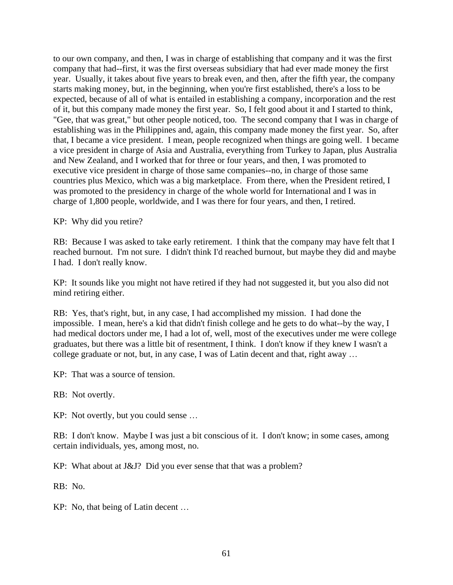to our own company, and then, I was in charge of establishing that company and it was the first company that had--first, it was the first overseas subsidiary that had ever made money the first year. Usually, it takes about five years to break even, and then, after the fifth year, the company starts making money, but, in the beginning, when you're first established, there's a loss to be expected, because of all of what is entailed in establishing a company, incorporation and the rest of it, but this company made money the first year. So, I felt good about it and I started to think, "Gee, that was great," but other people noticed, too. The second company that I was in charge of establishing was in the Philippines and, again, this company made money the first year. So, after that, I became a vice president. I mean, people recognized when things are going well. I became a vice president in charge of Asia and Australia, everything from Turkey to Japan, plus Australia and New Zealand, and I worked that for three or four years, and then, I was promoted to executive vice president in charge of those same companies--no, in charge of those same countries plus Mexico, which was a big marketplace. From there, when the President retired, I was promoted to the presidency in charge of the whole world for International and I was in charge of 1,800 people, worldwide, and I was there for four years, and then, I retired.

KP: Why did you retire?

RB: Because I was asked to take early retirement. I think that the company may have felt that I reached burnout. I'm not sure. I didn't think I'd reached burnout, but maybe they did and maybe I had. I don't really know.

KP: It sounds like you might not have retired if they had not suggested it, but you also did not mind retiring either.

RB: Yes, that's right, but, in any case, I had accomplished my mission. I had done the impossible. I mean, here's a kid that didn't finish college and he gets to do what--by the way, I had medical doctors under me, I had a lot of, well, most of the executives under me were college graduates, but there was a little bit of resentment, I think. I don't know if they knew I wasn't a college graduate or not, but, in any case, I was of Latin decent and that, right away …

KP: That was a source of tension.

RB: Not overtly.

KP: Not overtly, but you could sense …

RB: I don't know. Maybe I was just a bit conscious of it. I don't know; in some cases, among certain individuals, yes, among most, no.

KP: What about at J&J? Did you ever sense that that was a problem?

RB: No.

KP: No, that being of Latin decent …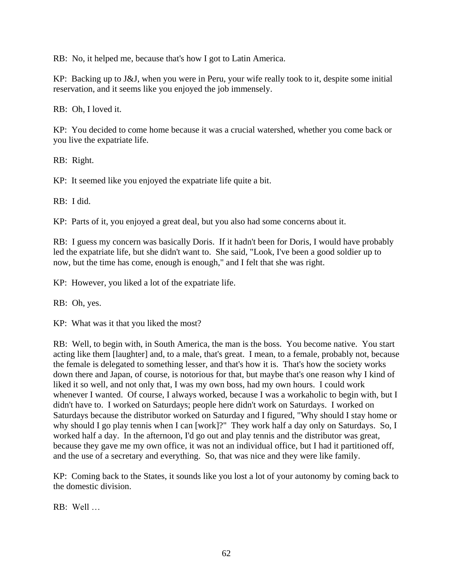RB: No, it helped me, because that's how I got to Latin America.

KP: Backing up to J&J, when you were in Peru, your wife really took to it, despite some initial reservation, and it seems like you enjoyed the job immensely.

RB: Oh, I loved it.

KP: You decided to come home because it was a crucial watershed, whether you come back or you live the expatriate life.

RB: Right.

KP: It seemed like you enjoyed the expatriate life quite a bit.

RB: I did.

KP: Parts of it, you enjoyed a great deal, but you also had some concerns about it.

RB: I guess my concern was basically Doris. If it hadn't been for Doris, I would have probably led the expatriate life, but she didn't want to. She said, "Look, I've been a good soldier up to now, but the time has come, enough is enough," and I felt that she was right.

KP: However, you liked a lot of the expatriate life.

RB: Oh, yes.

KP: What was it that you liked the most?

RB: Well, to begin with, in South America, the man is the boss. You become native. You start acting like them [laughter] and, to a male, that's great. I mean, to a female, probably not, because the female is delegated to something lesser, and that's how it is. That's how the society works down there and Japan, of course, is notorious for that, but maybe that's one reason why I kind of liked it so well, and not only that, I was my own boss, had my own hours. I could work whenever I wanted. Of course, I always worked, because I was a workaholic to begin with, but I didn't have to. I worked on Saturdays; people here didn't work on Saturdays. I worked on Saturdays because the distributor worked on Saturday and I figured, "Why should I stay home or why should I go play tennis when I can [work]?" They work half a day only on Saturdays. So, I worked half a day. In the afternoon, I'd go out and play tennis and the distributor was great, because they gave me my own office, it was not an individual office, but I had it partitioned off, and the use of a secretary and everything. So, that was nice and they were like family.

KP: Coming back to the States, it sounds like you lost a lot of your autonomy by coming back to the domestic division.

 $RR \cdot$  Well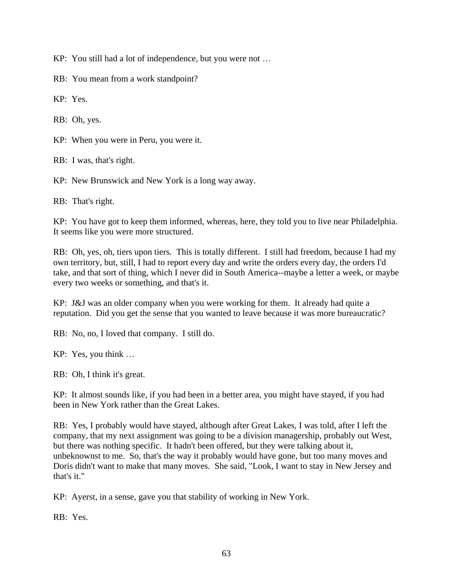KP: You still had a lot of independence, but you were not …

RB: You mean from a work standpoint?

KP: Yes.

RB: Oh, yes.

KP: When you were in Peru, you were it.

RB: I was, that's right.

KP: New Brunswick and New York is a long way away.

RB: That's right.

KP: You have got to keep them informed, whereas, here, they told you to live near Philadelphia. It seems like you were more structured.

RB: Oh, yes, oh, tiers upon tiers. This is totally different. I still had freedom, because I had my own territory, but, still, I had to report every day and write the orders every day, the orders I'd take, and that sort of thing, which I never did in South America--maybe a letter a week, or maybe every two weeks or something, and that's it.

KP: J&J was an older company when you were working for them. It already had quite a reputation. Did you get the sense that you wanted to leave because it was more bureaucratic?

RB: No, no, I loved that company. I still do.

KP: Yes, you think …

RB: Oh, I think it's great.

KP: It almost sounds like, if you had been in a better area, you might have stayed, if you had been in New York rather than the Great Lakes.

RB: Yes, I probably would have stayed, although after Great Lakes, I was told, after I left the company, that my next assignment was going to be a division managership, probably out West, but there was nothing specific. It hadn't been offered, but they were talking about it, unbeknownst to me. So, that's the way it probably would have gone, but too many moves and Doris didn't want to make that many moves. She said, "Look, I want to stay in New Jersey and that's it."

KP: Ayerst, in a sense, gave you that stability of working in New York.

RB: Yes.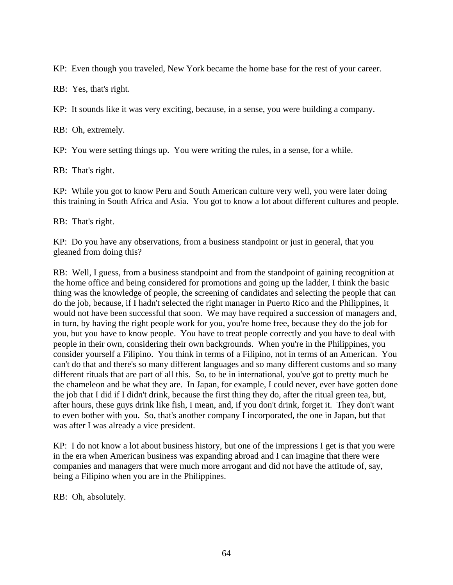KP: Even though you traveled, New York became the home base for the rest of your career.

RB: Yes, that's right.

KP: It sounds like it was very exciting, because, in a sense, you were building a company.

RB: Oh, extremely.

KP: You were setting things up. You were writing the rules, in a sense, for a while.

RB: That's right.

KP: While you got to know Peru and South American culture very well, you were later doing this training in South Africa and Asia. You got to know a lot about different cultures and people.

RB: That's right.

KP: Do you have any observations, from a business standpoint or just in general, that you gleaned from doing this?

RB: Well, I guess, from a business standpoint and from the standpoint of gaining recognition at the home office and being considered for promotions and going up the ladder, I think the basic thing was the knowledge of people, the screening of candidates and selecting the people that can do the job, because, if I hadn't selected the right manager in Puerto Rico and the Philippines, it would not have been successful that soon. We may have required a succession of managers and, in turn, by having the right people work for you, you're home free, because they do the job for you, but you have to know people. You have to treat people correctly and you have to deal with people in their own, considering their own backgrounds. When you're in the Philippines, you consider yourself a Filipino. You think in terms of a Filipino, not in terms of an American. You can't do that and there's so many different languages and so many different customs and so many different rituals that are part of all this. So, to be in international, you've got to pretty much be the chameleon and be what they are. In Japan, for example, I could never, ever have gotten done the job that I did if I didn't drink, because the first thing they do, after the ritual green tea, but, after hours, these guys drink like fish, I mean, and, if you don't drink, forget it. They don't want to even bother with you. So, that's another company I incorporated, the one in Japan, but that was after I was already a vice president.

KP: I do not know a lot about business history, but one of the impressions I get is that you were in the era when American business was expanding abroad and I can imagine that there were companies and managers that were much more arrogant and did not have the attitude of, say, being a Filipino when you are in the Philippines.

RB: Oh, absolutely.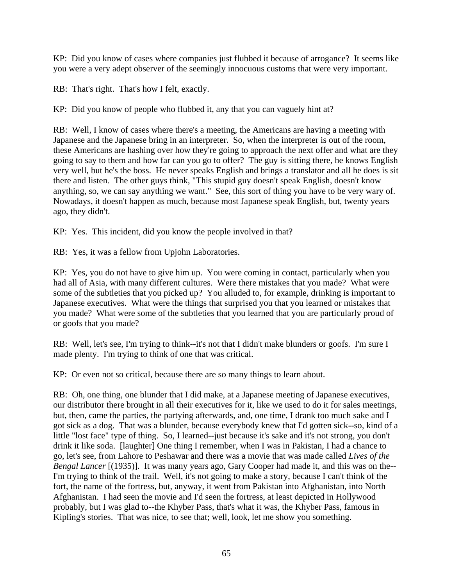KP: Did you know of cases where companies just flubbed it because of arrogance? It seems like you were a very adept observer of the seemingly innocuous customs that were very important.

RB: That's right. That's how I felt, exactly.

KP: Did you know of people who flubbed it, any that you can vaguely hint at?

RB: Well, I know of cases where there's a meeting, the Americans are having a meeting with Japanese and the Japanese bring in an interpreter. So, when the interpreter is out of the room, these Americans are hashing over how they're going to approach the next offer and what are they going to say to them and how far can you go to offer? The guy is sitting there, he knows English very well, but he's the boss. He never speaks English and brings a translator and all he does is sit there and listen. The other guys think, "This stupid guy doesn't speak English, doesn't know anything, so, we can say anything we want." See, this sort of thing you have to be very wary of. Nowadays, it doesn't happen as much, because most Japanese speak English, but, twenty years ago, they didn't.

KP: Yes. This incident, did you know the people involved in that?

RB: Yes, it was a fellow from Upjohn Laboratories.

KP: Yes, you do not have to give him up. You were coming in contact, particularly when you had all of Asia, with many different cultures. Were there mistakes that you made? What were some of the subtleties that you picked up? You alluded to, for example, drinking is important to Japanese executives. What were the things that surprised you that you learned or mistakes that you made? What were some of the subtleties that you learned that you are particularly proud of or goofs that you made?

RB: Well, let's see, I'm trying to think--it's not that I didn't make blunders or goofs. I'm sure I made plenty. I'm trying to think of one that was critical.

KP: Or even not so critical, because there are so many things to learn about.

RB: Oh, one thing, one blunder that I did make, at a Japanese meeting of Japanese executives, our distributor there brought in all their executives for it, like we used to do it for sales meetings, but, then, came the parties, the partying afterwards, and, one time, I drank too much sake and I got sick as a dog. That was a blunder, because everybody knew that I'd gotten sick--so, kind of a little "lost face" type of thing. So, I learned--just because it's sake and it's not strong, you don't drink it like soda. [laughter] One thing I remember, when I was in Pakistan, I had a chance to go, let's see, from Lahore to Peshawar and there was a movie that was made called *Lives of the Bengal Lancer* [(1935)]. It was many years ago, Gary Cooper had made it, and this was on the--I'm trying to think of the trail. Well, it's not going to make a story, because I can't think of the fort, the name of the fortress, but, anyway, it went from Pakistan into Afghanistan, into North Afghanistan. I had seen the movie and I'd seen the fortress, at least depicted in Hollywood probably, but I was glad to--the Khyber Pass, that's what it was, the Khyber Pass, famous in Kipling's stories. That was nice, to see that; well, look, let me show you something.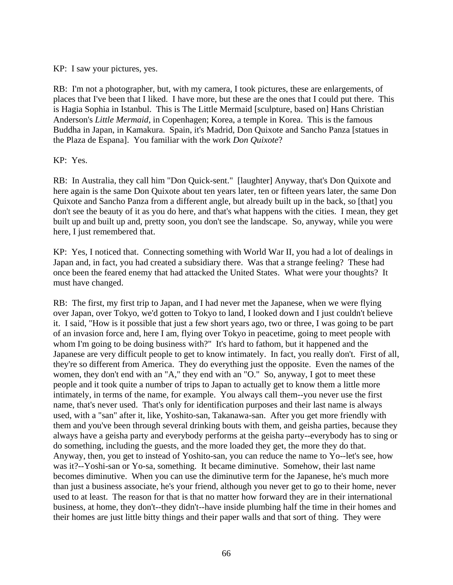KP: I saw your pictures, yes.

RB: I'm not a photographer, but, with my camera, I took pictures, these are enlargements, of places that I've been that I liked. I have more, but these are the ones that I could put there. This is Hagia Sophia in Istanbul. This is The Little Mermaid [sculpture, based on] Hans Christian Anderson's *Little Mermaid*, in Copenhagen; Korea, a temple in Korea. This is the famous Buddha in Japan, in Kamakura. Spain, it's Madrid, Don Quixote and Sancho Panza [statues in the Plaza de Espana]. You familiar with the work *Don Quixote*?

KP: Yes.

RB: In Australia, they call him "Don Quick-sent." [laughter] Anyway, that's Don Quixote and here again is the same Don Quixote about ten years later, ten or fifteen years later, the same Don Quixote and Sancho Panza from a different angle, but already built up in the back, so [that] you don't see the beauty of it as you do here, and that's what happens with the cities. I mean, they get built up and built up and, pretty soon, you don't see the landscape. So, anyway, while you were here, I just remembered that.

KP: Yes, I noticed that. Connecting something with World War II, you had a lot of dealings in Japan and, in fact, you had created a subsidiary there. Was that a strange feeling? These had once been the feared enemy that had attacked the United States. What were your thoughts? It must have changed.

RB: The first, my first trip to Japan, and I had never met the Japanese, when we were flying over Japan, over Tokyo, we'd gotten to Tokyo to land, I looked down and I just couldn't believe it. I said, "How is it possible that just a few short years ago, two or three, I was going to be part of an invasion force and, here I am, flying over Tokyo in peacetime, going to meet people with whom I'm going to be doing business with?" It's hard to fathom, but it happened and the Japanese are very difficult people to get to know intimately. In fact, you really don't. First of all, they're so different from America. They do everything just the opposite. Even the names of the women, they don't end with an "A," they end with an "O." So, anyway, I got to meet these people and it took quite a number of trips to Japan to actually get to know them a little more intimately, in terms of the name, for example. You always call them--you never use the first name, that's never used. That's only for identification purposes and their last name is always used, with a "san" after it, like, Yoshito-san, Takanawa-san. After you get more friendly with them and you've been through several drinking bouts with them, and geisha parties, because they always have a geisha party and everybody performs at the geisha party--everybody has to sing or do something, including the guests, and the more loaded they get, the more they do that. Anyway, then, you get to instead of Yoshito-san, you can reduce the name to Yo--let's see, how was it?--Yoshi-san or Yo-sa, something. It became diminutive. Somehow, their last name becomes diminutive. When you can use the diminutive term for the Japanese, he's much more than just a business associate, he's your friend, although you never get to go to their home, never used to at least. The reason for that is that no matter how forward they are in their international business, at home, they don't--they didn't--have inside plumbing half the time in their homes and their homes are just little bitty things and their paper walls and that sort of thing. They were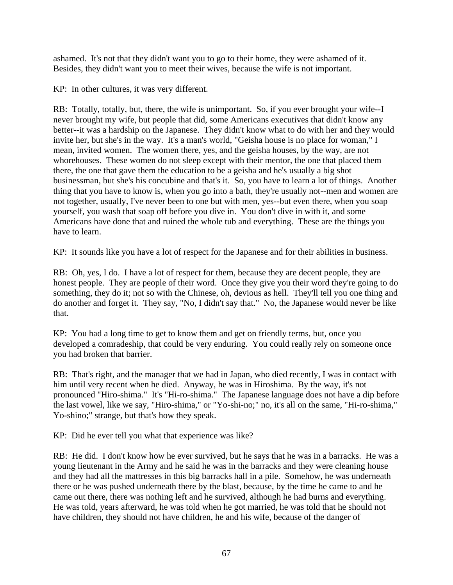ashamed. It's not that they didn't want you to go to their home, they were ashamed of it. Besides, they didn't want you to meet their wives, because the wife is not important.

KP: In other cultures, it was very different.

RB: Totally, totally, but, there, the wife is unimportant. So, if you ever brought your wife--I never brought my wife, but people that did, some Americans executives that didn't know any better--it was a hardship on the Japanese. They didn't know what to do with her and they would invite her, but she's in the way. It's a man's world, "Geisha house is no place for woman," I mean, invited women. The women there, yes, and the geisha houses, by the way, are not whorehouses. These women do not sleep except with their mentor, the one that placed them there, the one that gave them the education to be a geisha and he's usually a big shot businessman, but she's his concubine and that's it. So, you have to learn a lot of things. Another thing that you have to know is, when you go into a bath, they're usually not--men and women are not together, usually, I've never been to one but with men, yes--but even there, when you soap yourself, you wash that soap off before you dive in. You don't dive in with it, and some Americans have done that and ruined the whole tub and everything. These are the things you have to learn.

KP: It sounds like you have a lot of respect for the Japanese and for their abilities in business.

RB: Oh, yes, I do. I have a lot of respect for them, because they are decent people, they are honest people. They are people of their word. Once they give you their word they're going to do something, they do it; not so with the Chinese, oh, devious as hell. They'll tell you one thing and do another and forget it. They say, "No, I didn't say that." No, the Japanese would never be like that.

KP: You had a long time to get to know them and get on friendly terms, but, once you developed a comradeship, that could be very enduring. You could really rely on someone once you had broken that barrier.

RB: That's right, and the manager that we had in Japan, who died recently, I was in contact with him until very recent when he died. Anyway, he was in Hiroshima. By the way, it's not pronounced "Hiro-shima." It's "Hi-ro-shima." The Japanese language does not have a dip before the last vowel, like we say, "Hiro-shima," or "Yo-shi-no;" no, it's all on the same, "Hi-ro-shima," Yo-shino;" strange, but that's how they speak.

KP: Did he ever tell you what that experience was like?

RB: He did. I don't know how he ever survived, but he says that he was in a barracks. He was a young lieutenant in the Army and he said he was in the barracks and they were cleaning house and they had all the mattresses in this big barracks hall in a pile. Somehow, he was underneath there or he was pushed underneath there by the blast, because, by the time he came to and he came out there, there was nothing left and he survived, although he had burns and everything. He was told, years afterward, he was told when he got married, he was told that he should not have children, they should not have children, he and his wife, because of the danger of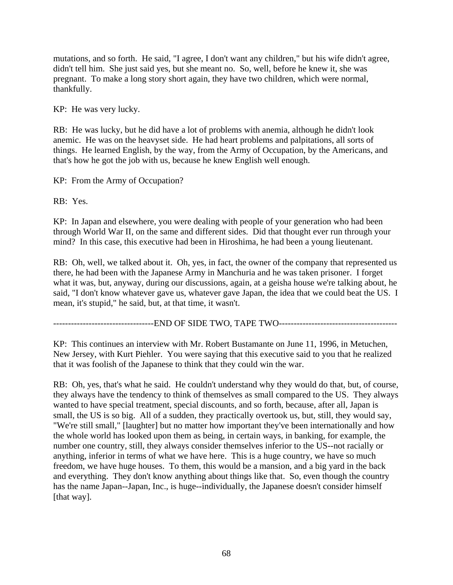mutations, and so forth. He said, "I agree, I don't want any children," but his wife didn't agree, didn't tell him. She just said yes, but she meant no. So, well, before he knew it, she was pregnant. To make a long story short again, they have two children, which were normal, thankfully.

KP: He was very lucky.

RB: He was lucky, but he did have a lot of problems with anemia, although he didn't look anemic. He was on the heavyset side. He had heart problems and palpitations, all sorts of things. He learned English, by the way, from the Army of Occupation, by the Americans, and that's how he got the job with us, because he knew English well enough.

KP: From the Army of Occupation?

RB: Yes.

KP: In Japan and elsewhere, you were dealing with people of your generation who had been through World War II, on the same and different sides. Did that thought ever run through your mind? In this case, this executive had been in Hiroshima, he had been a young lieutenant.

RB: Oh, well, we talked about it. Oh, yes, in fact, the owner of the company that represented us there, he had been with the Japanese Army in Manchuria and he was taken prisoner. I forget what it was, but, anyway, during our discussions, again, at a geisha house we're talking about, he said, "I don't know whatever gave us, whatever gave Japan, the idea that we could beat the US. I mean, it's stupid," he said, but, at that time, it wasn't.

----------------------------------END OF SIDE TWO, TAPE TWO----------------------------------------

KP: This continues an interview with Mr. Robert Bustamante on June 11, 1996, in Metuchen, New Jersey, with Kurt Piehler. You were saying that this executive said to you that he realized that it was foolish of the Japanese to think that they could win the war.

RB: Oh, yes, that's what he said. He couldn't understand why they would do that, but, of course, they always have the tendency to think of themselves as small compared to the US. They always wanted to have special treatment, special discounts, and so forth, because, after all, Japan is small, the US is so big. All of a sudden, they practically overtook us, but, still, they would say, "We're still small," [laughter] but no matter how important they've been internationally and how the whole world has looked upon them as being, in certain ways, in banking, for example, the number one country, still, they always consider themselves inferior to the US--not racially or anything, inferior in terms of what we have here. This is a huge country, we have so much freedom, we have huge houses. To them, this would be a mansion, and a big yard in the back and everything. They don't know anything about things like that. So, even though the country has the name Japan--Japan, Inc., is huge--individually, the Japanese doesn't consider himself [that way].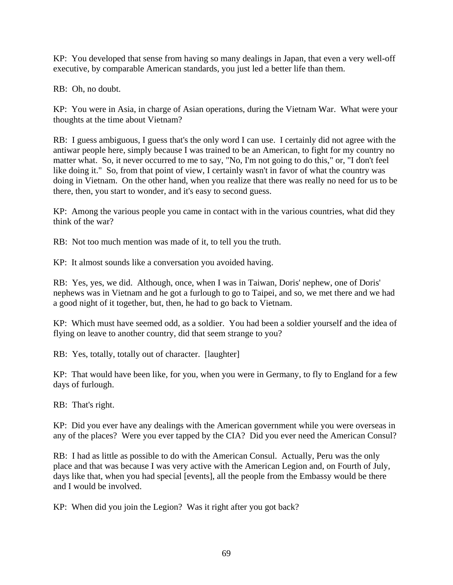KP: You developed that sense from having so many dealings in Japan, that even a very well-off executive, by comparable American standards, you just led a better life than them.

RB: Oh, no doubt.

KP: You were in Asia, in charge of Asian operations, during the Vietnam War. What were your thoughts at the time about Vietnam?

RB: I guess ambiguous, I guess that's the only word I can use. I certainly did not agree with the antiwar people here, simply because I was trained to be an American, to fight for my country no matter what. So, it never occurred to me to say, "No, I'm not going to do this," or, "I don't feel like doing it." So, from that point of view, I certainly wasn't in favor of what the country was doing in Vietnam. On the other hand, when you realize that there was really no need for us to be there, then, you start to wonder, and it's easy to second guess.

KP: Among the various people you came in contact with in the various countries, what did they think of the war?

RB: Not too much mention was made of it, to tell you the truth.

KP: It almost sounds like a conversation you avoided having.

RB: Yes, yes, we did. Although, once, when I was in Taiwan, Doris' nephew, one of Doris' nephews was in Vietnam and he got a furlough to go to Taipei, and so, we met there and we had a good night of it together, but, then, he had to go back to Vietnam.

KP: Which must have seemed odd, as a soldier. You had been a soldier yourself and the idea of flying on leave to another country, did that seem strange to you?

RB: Yes, totally, totally out of character. [laughter]

KP: That would have been like, for you, when you were in Germany, to fly to England for a few days of furlough.

RB: That's right.

KP: Did you ever have any dealings with the American government while you were overseas in any of the places? Were you ever tapped by the CIA? Did you ever need the American Consul?

RB: I had as little as possible to do with the American Consul. Actually, Peru was the only place and that was because I was very active with the American Legion and, on Fourth of July, days like that, when you had special [events], all the people from the Embassy would be there and I would be involved.

KP: When did you join the Legion? Was it right after you got back?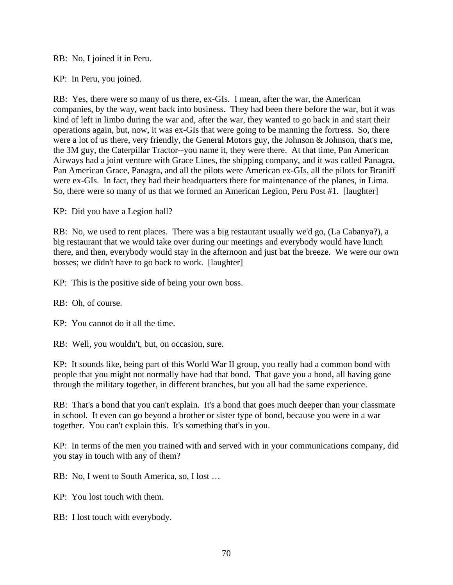RB: No, I joined it in Peru.

KP: In Peru, you joined.

RB: Yes, there were so many of us there, ex-GIs. I mean, after the war, the American companies, by the way, went back into business. They had been there before the war, but it was kind of left in limbo during the war and, after the war, they wanted to go back in and start their operations again, but, now, it was ex-GIs that were going to be manning the fortress. So, there were a lot of us there, very friendly, the General Motors guy, the Johnson & Johnson, that's me, the 3M guy, the Caterpillar Tractor--you name it, they were there. At that time, Pan American Airways had a joint venture with Grace Lines, the shipping company, and it was called Panagra, Pan American Grace, Panagra, and all the pilots were American ex-GIs, all the pilots for Braniff were ex-GIs. In fact, they had their headquarters there for maintenance of the planes, in Lima. So, there were so many of us that we formed an American Legion, Peru Post #1. [laughter]

KP: Did you have a Legion hall?

RB: No, we used to rent places. There was a big restaurant usually we'd go, (La Cabanya?), a big restaurant that we would take over during our meetings and everybody would have lunch there, and then, everybody would stay in the afternoon and just bat the breeze. We were our own bosses; we didn't have to go back to work. [laughter]

KP: This is the positive side of being your own boss.

RB: Oh, of course.

KP: You cannot do it all the time.

RB: Well, you wouldn't, but, on occasion, sure.

KP: It sounds like, being part of this World War II group, you really had a common bond with people that you might not normally have had that bond. That gave you a bond, all having gone through the military together, in different branches, but you all had the same experience.

RB: That's a bond that you can't explain. It's a bond that goes much deeper than your classmate in school. It even can go beyond a brother or sister type of bond, because you were in a war together. You can't explain this. It's something that's in you.

KP: In terms of the men you trained with and served with in your communications company, did you stay in touch with any of them?

RB: No, I went to South America, so, I lost …

KP: You lost touch with them.

RB: I lost touch with everybody.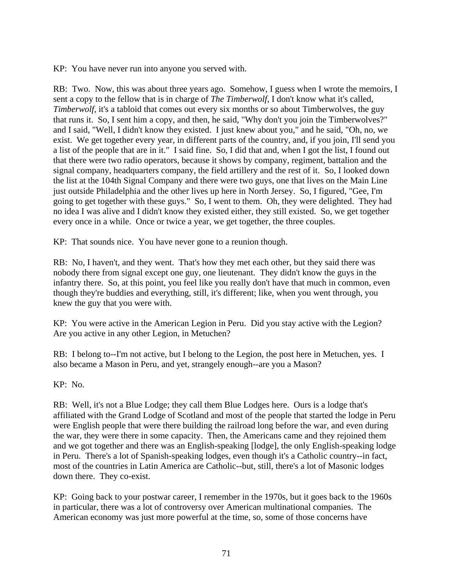KP: You have never run into anyone you served with.

RB: Two. Now, this was about three years ago. Somehow, I guess when I wrote the memoirs, I sent a copy to the fellow that is in charge of *The Timberwolf*, I don't know what it's called, *Timberwolf*, it's a tabloid that comes out every six months or so about Timberwolves, the guy that runs it. So, I sent him a copy, and then, he said, "Why don't you join the Timberwolves?" and I said, "Well, I didn't know they existed. I just knew about you," and he said, "Oh, no, we exist. We get together every year, in different parts of the country, and, if you join, I'll send you a list of the people that are in it." I said fine. So, I did that and, when I got the list, I found out that there were two radio operators, because it shows by company, regiment, battalion and the signal company, headquarters company, the field artillery and the rest of it. So, I looked down the list at the 104th Signal Company and there were two guys, one that lives on the Main Line just outside Philadelphia and the other lives up here in North Jersey. So, I figured, "Gee, I'm going to get together with these guys." So, I went to them. Oh, they were delighted. They had no idea I was alive and I didn't know they existed either, they still existed. So, we get together every once in a while. Once or twice a year, we get together, the three couples.

KP: That sounds nice. You have never gone to a reunion though.

RB: No, I haven't, and they went. That's how they met each other, but they said there was nobody there from signal except one guy, one lieutenant. They didn't know the guys in the infantry there. So, at this point, you feel like you really don't have that much in common, even though they're buddies and everything, still, it's different; like, when you went through, you knew the guy that you were with.

KP: You were active in the American Legion in Peru. Did you stay active with the Legion? Are you active in any other Legion, in Metuchen?

RB: I belong to--I'm not active, but I belong to the Legion, the post here in Metuchen, yes. I also became a Mason in Peru, and yet, strangely enough--are you a Mason?

KP: No.

RB: Well, it's not a Blue Lodge; they call them Blue Lodges here. Ours is a lodge that's affiliated with the Grand Lodge of Scotland and most of the people that started the lodge in Peru were English people that were there building the railroad long before the war, and even during the war, they were there in some capacity. Then, the Americans came and they rejoined them and we got together and there was an English-speaking [lodge], the only English-speaking lodge in Peru. There's a lot of Spanish-speaking lodges, even though it's a Catholic country--in fact, most of the countries in Latin America are Catholic--but, still, there's a lot of Masonic lodges down there. They co-exist.

KP: Going back to your postwar career, I remember in the 1970s, but it goes back to the 1960s in particular, there was a lot of controversy over American multinational companies. The American economy was just more powerful at the time, so, some of those concerns have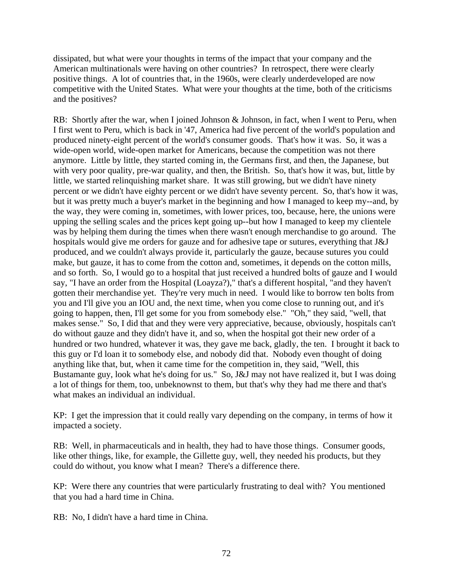dissipated, but what were your thoughts in terms of the impact that your company and the American multinationals were having on other countries? In retrospect, there were clearly positive things. A lot of countries that, in the 1960s, were clearly underdeveloped are now competitive with the United States. What were your thoughts at the time, both of the criticisms and the positives?

RB: Shortly after the war, when I joined Johnson & Johnson, in fact, when I went to Peru, when I first went to Peru, which is back in '47, America had five percent of the world's population and produced ninety-eight percent of the world's consumer goods. That's how it was. So, it was a wide-open world, wide-open market for Americans, because the competition was not there anymore. Little by little, they started coming in, the Germans first, and then, the Japanese, but with very poor quality, pre-war quality, and then, the British. So, that's how it was, but, little by little, we started relinquishing market share. It was still growing, but we didn't have ninety percent or we didn't have eighty percent or we didn't have seventy percent. So, that's how it was, but it was pretty much a buyer's market in the beginning and how I managed to keep my--and, by the way, they were coming in, sometimes, with lower prices, too, because, here, the unions were upping the selling scales and the prices kept going up--but how I managed to keep my clientele was by helping them during the times when there wasn't enough merchandise to go around. The hospitals would give me orders for gauze and for adhesive tape or sutures, everything that J&J produced, and we couldn't always provide it, particularly the gauze, because sutures you could make, but gauze, it has to come from the cotton and, sometimes, it depends on the cotton mills, and so forth. So, I would go to a hospital that just received a hundred bolts of gauze and I would say, "I have an order from the Hospital (Loayza?)," that's a different hospital, "and they haven't gotten their merchandise yet. They're very much in need. I would like to borrow ten bolts from you and I'll give you an IOU and, the next time, when you come close to running out, and it's going to happen, then, I'll get some for you from somebody else." "Oh," they said, "well, that makes sense." So, I did that and they were very appreciative, because, obviously, hospitals can't do without gauze and they didn't have it, and so, when the hospital got their new order of a hundred or two hundred, whatever it was, they gave me back, gladly, the ten. I brought it back to this guy or I'd loan it to somebody else, and nobody did that. Nobody even thought of doing anything like that, but, when it came time for the competition in, they said, "Well, this Bustamante guy, look what he's doing for us." So, J&J may not have realized it, but I was doing a lot of things for them, too, unbeknownst to them, but that's why they had me there and that's what makes an individual an individual.

KP: I get the impression that it could really vary depending on the company, in terms of how it impacted a society.

RB: Well, in pharmaceuticals and in health, they had to have those things. Consumer goods, like other things, like, for example, the Gillette guy, well, they needed his products, but they could do without, you know what I mean? There's a difference there.

KP: Were there any countries that were particularly frustrating to deal with? You mentioned that you had a hard time in China.

RB: No, I didn't have a hard time in China.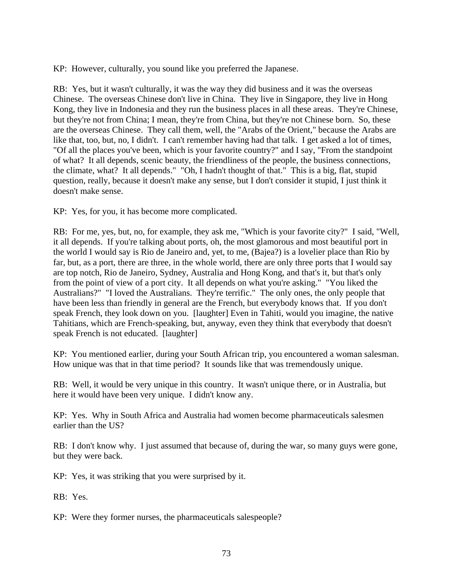KP: However, culturally, you sound like you preferred the Japanese.

RB: Yes, but it wasn't culturally, it was the way they did business and it was the overseas Chinese. The overseas Chinese don't live in China. They live in Singapore, they live in Hong Kong, they live in Indonesia and they run the business places in all these areas. They're Chinese, but they're not from China; I mean, they're from China, but they're not Chinese born. So, these are the overseas Chinese. They call them, well, the "Arabs of the Orient," because the Arabs are like that, too, but, no, I didn't. I can't remember having had that talk. I get asked a lot of times, "Of all the places you've been, which is your favorite country?" and I say, "From the standpoint of what? It all depends, scenic beauty, the friendliness of the people, the business connections, the climate, what? It all depends." "Oh, I hadn't thought of that." This is a big, flat, stupid question, really, because it doesn't make any sense, but I don't consider it stupid, I just think it doesn't make sense.

KP: Yes, for you, it has become more complicated.

RB: For me, yes, but, no, for example, they ask me, "Which is your favorite city?" I said, "Well, it all depends. If you're talking about ports, oh, the most glamorous and most beautiful port in the world I would say is Rio de Janeiro and, yet, to me, (Bajea?) is a lovelier place than Rio by far, but, as a port, there are three, in the whole world, there are only three ports that I would say are top notch, Rio de Janeiro, Sydney, Australia and Hong Kong, and that's it, but that's only from the point of view of a port city. It all depends on what you're asking." "You liked the Australians?" "I loved the Australians. They're terrific." The only ones, the only people that have been less than friendly in general are the French, but everybody knows that. If you don't speak French, they look down on you. [laughter] Even in Tahiti, would you imagine, the native Tahitians, which are French-speaking, but, anyway, even they think that everybody that doesn't speak French is not educated. [laughter]

KP: You mentioned earlier, during your South African trip, you encountered a woman salesman. How unique was that in that time period? It sounds like that was tremendously unique.

RB: Well, it would be very unique in this country. It wasn't unique there, or in Australia, but here it would have been very unique. I didn't know any.

KP: Yes. Why in South Africa and Australia had women become pharmaceuticals salesmen earlier than the US?

RB: I don't know why. I just assumed that because of, during the war, so many guys were gone, but they were back.

KP: Yes, it was striking that you were surprised by it.

RB: Yes.

KP: Were they former nurses, the pharmaceuticals salespeople?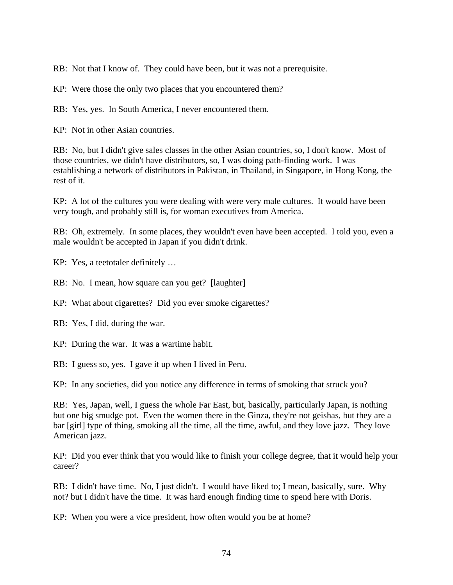RB: Not that I know of. They could have been, but it was not a prerequisite.

KP: Were those the only two places that you encountered them?

RB: Yes, yes. In South America, I never encountered them.

KP: Not in other Asian countries.

RB: No, but I didn't give sales classes in the other Asian countries, so, I don't know. Most of those countries, we didn't have distributors, so, I was doing path-finding work. I was establishing a network of distributors in Pakistan, in Thailand, in Singapore, in Hong Kong, the rest of it.

KP: A lot of the cultures you were dealing with were very male cultures. It would have been very tough, and probably still is, for woman executives from America.

RB: Oh, extremely. In some places, they wouldn't even have been accepted. I told you, even a male wouldn't be accepted in Japan if you didn't drink.

KP: Yes, a teetotaler definitely …

RB: No. I mean, how square can you get? [laughter]

KP: What about cigarettes? Did you ever smoke cigarettes?

RB: Yes, I did, during the war.

KP: During the war. It was a wartime habit.

RB: I guess so, yes. I gave it up when I lived in Peru.

KP: In any societies, did you notice any difference in terms of smoking that struck you?

RB: Yes, Japan, well, I guess the whole Far East, but, basically, particularly Japan, is nothing but one big smudge pot. Even the women there in the Ginza, they're not geishas, but they are a bar [girl] type of thing, smoking all the time, all the time, awful, and they love jazz. They love American jazz.

KP: Did you ever think that you would like to finish your college degree, that it would help your career?

RB: I didn't have time. No, I just didn't. I would have liked to; I mean, basically, sure. Why not? but I didn't have the time. It was hard enough finding time to spend here with Doris.

KP: When you were a vice president, how often would you be at home?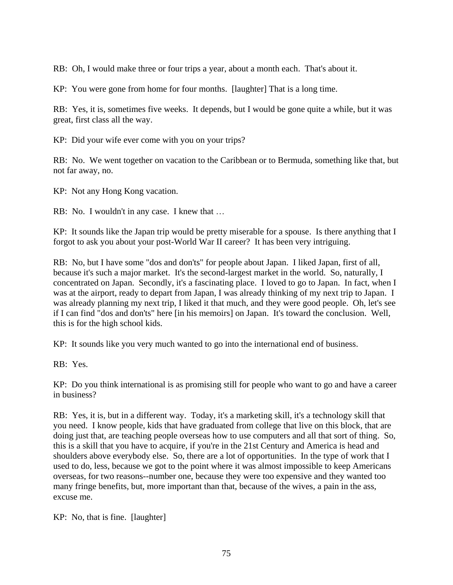RB: Oh, I would make three or four trips a year, about a month each. That's about it.

KP: You were gone from home for four months. [laughter] That is a long time.

RB: Yes, it is, sometimes five weeks. It depends, but I would be gone quite a while, but it was great, first class all the way.

KP: Did your wife ever come with you on your trips?

RB: No. We went together on vacation to the Caribbean or to Bermuda, something like that, but not far away, no.

KP: Not any Hong Kong vacation.

RB: No. I wouldn't in any case. I knew that …

KP: It sounds like the Japan trip would be pretty miserable for a spouse. Is there anything that I forgot to ask you about your post-World War II career? It has been very intriguing.

RB: No, but I have some "dos and don'ts" for people about Japan. I liked Japan, first of all, because it's such a major market. It's the second-largest market in the world. So, naturally, I concentrated on Japan. Secondly, it's a fascinating place. I loved to go to Japan. In fact, when I was at the airport, ready to depart from Japan, I was already thinking of my next trip to Japan. I was already planning my next trip, I liked it that much, and they were good people. Oh, let's see if I can find "dos and don'ts" here [in his memoirs] on Japan. It's toward the conclusion. Well, this is for the high school kids.

KP: It sounds like you very much wanted to go into the international end of business.

RB: Yes.

KP: Do you think international is as promising still for people who want to go and have a career in business?

RB: Yes, it is, but in a different way. Today, it's a marketing skill, it's a technology skill that you need. I know people, kids that have graduated from college that live on this block, that are doing just that, are teaching people overseas how to use computers and all that sort of thing. So, this is a skill that you have to acquire, if you're in the 21st Century and America is head and shoulders above everybody else. So, there are a lot of opportunities. In the type of work that I used to do, less, because we got to the point where it was almost impossible to keep Americans overseas, for two reasons--number one, because they were too expensive and they wanted too many fringe benefits, but, more important than that, because of the wives, a pain in the ass, excuse me.

KP: No, that is fine. [laughter]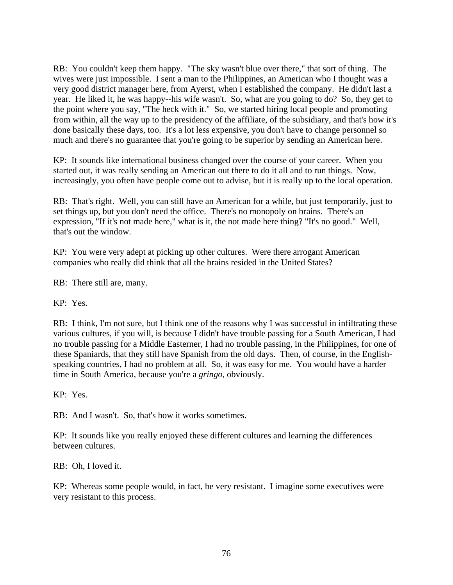RB: You couldn't keep them happy. "The sky wasn't blue over there," that sort of thing. The wives were just impossible. I sent a man to the Philippines, an American who I thought was a very good district manager here, from Ayerst, when I established the company. He didn't last a year. He liked it, he was happy--his wife wasn't. So, what are you going to do? So, they get to the point where you say, "The heck with it." So, we started hiring local people and promoting from within, all the way up to the presidency of the affiliate, of the subsidiary, and that's how it's done basically these days, too. It's a lot less expensive, you don't have to change personnel so much and there's no guarantee that you're going to be superior by sending an American here.

KP: It sounds like international business changed over the course of your career. When you started out, it was really sending an American out there to do it all and to run things. Now, increasingly, you often have people come out to advise, but it is really up to the local operation.

RB: That's right. Well, you can still have an American for a while, but just temporarily, just to set things up, but you don't need the office. There's no monopoly on brains. There's an expression, "If it's not made here," what is it, the not made here thing? "It's no good." Well, that's out the window.

KP: You were very adept at picking up other cultures. Were there arrogant American companies who really did think that all the brains resided in the United States?

RB: There still are, many.

KP: Yes.

RB: I think, I'm not sure, but I think one of the reasons why I was successful in infiltrating these various cultures, if you will, is because I didn't have trouble passing for a South American, I had no trouble passing for a Middle Easterner, I had no trouble passing, in the Philippines, for one of these Spaniards, that they still have Spanish from the old days. Then, of course, in the Englishspeaking countries, I had no problem at all. So, it was easy for me. You would have a harder time in South America, because you're a *gringo*, obviously.

KP: Yes.

RB: And I wasn't. So, that's how it works sometimes.

KP: It sounds like you really enjoyed these different cultures and learning the differences between cultures.

RB: Oh, I loved it.

KP: Whereas some people would, in fact, be very resistant. I imagine some executives were very resistant to this process.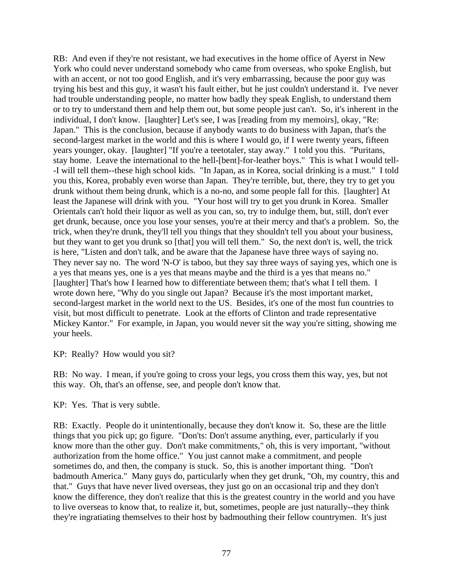RB: And even if they're not resistant, we had executives in the home office of Ayerst in New York who could never understand somebody who came from overseas, who spoke English, but with an accent, or not too good English, and it's very embarrassing, because the poor guy was trying his best and this guy, it wasn't his fault either, but he just couldn't understand it. I've never had trouble understanding people, no matter how badly they speak English, to understand them or to try to understand them and help them out, but some people just can't. So, it's inherent in the individual, I don't know. [laughter] Let's see, I was [reading from my memoirs], okay, "Re: Japan." This is the conclusion, because if anybody wants to do business with Japan, that's the second-largest market in the world and this is where I would go, if I were twenty years, fifteen years younger, okay. [laughter] "If you're a teetotaler, stay away." I told you this. "Puritans, stay home. Leave the international to the hell-[bent]-for-leather boys." This is what I would tell- -I will tell them--these high school kids. "In Japan, as in Korea, social drinking is a must." I told you this, Korea, probably even worse than Japan. They're terrible, but, there, they try to get you drunk without them being drunk, which is a no-no, and some people fall for this. [laughter] At least the Japanese will drink with you. "Your host will try to get you drunk in Korea. Smaller Orientals can't hold their liquor as well as you can, so, try to indulge them, but, still, don't ever get drunk, because, once you lose your senses, you're at their mercy and that's a problem. So, the trick, when they're drunk, they'll tell you things that they shouldn't tell you about your business, but they want to get you drunk so [that] you will tell them." So, the next don't is, well, the trick is here, "Listen and don't talk, and be aware that the Japanese have three ways of saying no. They never say no. The word 'N-O' is taboo, but they say three ways of saying yes, which one is a yes that means yes, one is a yes that means maybe and the third is a yes that means no." [laughter] That's how I learned how to differentiate between them; that's what I tell them. I wrote down here, "Why do you single out Japan? Because it's the most important market, second-largest market in the world next to the US. Besides, it's one of the most fun countries to visit, but most difficult to penetrate. Look at the efforts of Clinton and trade representative Mickey Kantor." For example, in Japan, you would never sit the way you're sitting, showing me your heels.

KP: Really? How would you sit?

RB: No way. I mean, if you're going to cross your legs, you cross them this way, yes, but not this way. Oh, that's an offense, see, and people don't know that.

KP: Yes. That is very subtle.

RB: Exactly. People do it unintentionally, because they don't know it. So, these are the little things that you pick up; go figure. "Don'ts: Don't assume anything, ever, particularly if you know more than the other guy. Don't make commitments," oh, this is very important, "without authorization from the home office." You just cannot make a commitment, and people sometimes do, and then, the company is stuck. So, this is another important thing. "Don't badmouth America." Many guys do, particularly when they get drunk, "Oh, my country, this and that." Guys that have never lived overseas, they just go on an occasional trip and they don't know the difference, they don't realize that this is the greatest country in the world and you have to live overseas to know that, to realize it, but, sometimes, people are just naturally--they think they're ingratiating themselves to their host by badmouthing their fellow countrymen. It's just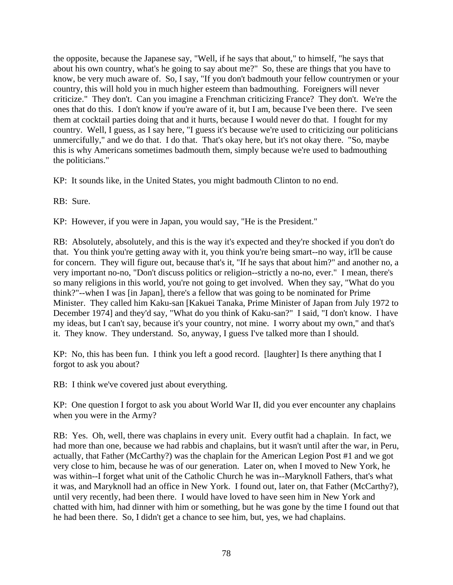the opposite, because the Japanese say, "Well, if he says that about," to himself, "he says that about his own country, what's he going to say about me?" So, these are things that you have to know, be very much aware of. So, I say, "If you don't badmouth your fellow countrymen or your country, this will hold you in much higher esteem than badmouthing. Foreigners will never criticize." They don't. Can you imagine a Frenchman criticizing France? They don't. We're the ones that do this. I don't know if you're aware of it, but I am, because I've been there. I've seen them at cocktail parties doing that and it hurts, because I would never do that. I fought for my country. Well, I guess, as I say here, "I guess it's because we're used to criticizing our politicians unmercifully," and we do that. I do that. That's okay here, but it's not okay there. "So, maybe this is why Americans sometimes badmouth them, simply because we're used to badmouthing the politicians."

KP: It sounds like, in the United States, you might badmouth Clinton to no end.

RB: Sure.

KP: However, if you were in Japan, you would say, "He is the President."

RB: Absolutely, absolutely, and this is the way it's expected and they're shocked if you don't do that. You think you're getting away with it, you think you're being smart--no way, it'll be cause for concern. They will figure out, because that's it, "If he says that about him?" and another no, a very important no-no, "Don't discuss politics or religion--strictly a no-no, ever." I mean, there's so many religions in this world, you're not going to get involved. When they say, "What do you think?"--when I was [in Japan], there's a fellow that was going to be nominated for Prime Minister. They called him Kaku-san [Kakuei Tanaka, Prime Minister of Japan from July 1972 to December 1974] and they'd say, "What do you think of Kaku-san?" I said, "I don't know. I have my ideas, but I can't say, because it's your country, not mine. I worry about my own," and that's it. They know. They understand. So, anyway, I guess I've talked more than I should.

KP: No, this has been fun. I think you left a good record. [laughter] Is there anything that I forgot to ask you about?

RB: I think we've covered just about everything.

KP: One question I forgot to ask you about World War II, did you ever encounter any chaplains when you were in the Army?

RB: Yes. Oh, well, there was chaplains in every unit. Every outfit had a chaplain. In fact, we had more than one, because we had rabbis and chaplains, but it wasn't until after the war, in Peru, actually, that Father (McCarthy?) was the chaplain for the American Legion Post #1 and we got very close to him, because he was of our generation. Later on, when I moved to New York, he was within--I forget what unit of the Catholic Church he was in--Maryknoll Fathers, that's what it was, and Maryknoll had an office in New York. I found out, later on, that Father (McCarthy?), until very recently, had been there. I would have loved to have seen him in New York and chatted with him, had dinner with him or something, but he was gone by the time I found out that he had been there. So, I didn't get a chance to see him, but, yes, we had chaplains.